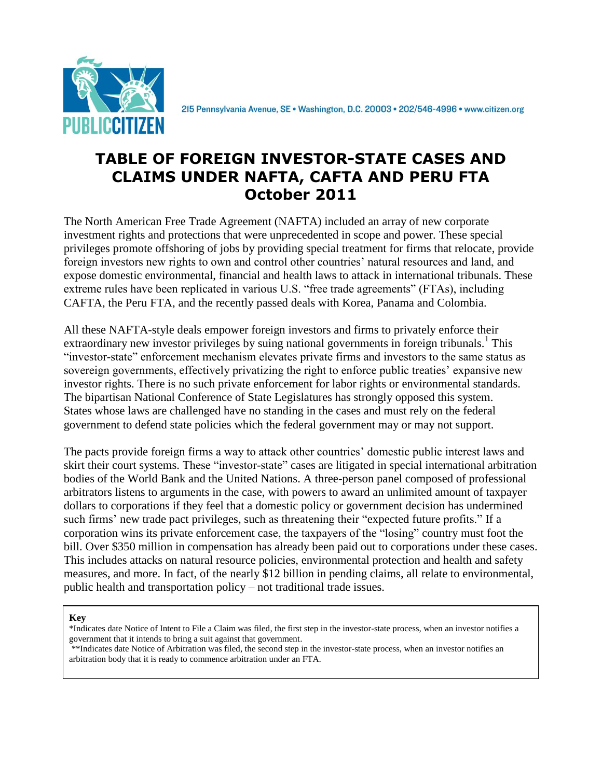

215 Pennsylvania Avenue, SE · Washington, D.C. 20003 · 202/546-4996 · www.citizen.org

#### **TABLE OF FOREIGN INVESTOR-STATE CASES AND CLAIMS UNDER NAFTA, CAFTA AND PERU FTA October 2011**

The North American Free Trade Agreement (NAFTA) included an array of new corporate investment rights and protections that were unprecedented in scope and power. These special privileges promote offshoring of jobs by providing special treatment for firms that relocate, provide foreign investors new rights to own and control other countries' natural resources and land, and expose domestic environmental, financial and health laws to attack in international tribunals. These extreme rules have been replicated in various U.S. "free trade agreements" (FTAs), including CAFTA, the Peru FTA, and the recently passed deals with Korea, Panama and Colombia.

All these NAFTA-style deals empower foreign investors and firms to privately enforce their extraordinary new investor privileges by suing national governments in foreign tribunals.<sup>1</sup> This "investor-state" enforcement mechanism elevates private firms and investors to the same status as sovereign governments, effectively privatizing the right to enforce public treaties' expansive new investor rights. There is no such private enforcement for labor rights or environmental standards. The bipartisan National Conference of State Legislatures has strongly opposed this system. States whose laws are challenged have no standing in the cases and must rely on the federal government to defend state policies which the federal government may or may not support.

The pacts provide foreign firms a way to attack other countries' domestic public interest laws and skirt their court systems. These "investor-state" cases are litigated in special international arbitration bodies of the World Bank and the United Nations. A three-person panel composed of professional arbitrators listens to arguments in the case, with powers to award an unlimited amount of taxpayer dollars to corporations if they feel that a domestic policy or government decision has undermined such firms' new trade pact privileges, such as threatening their "expected future profits." If a corporation wins its private enforcement case, the taxpayers of the "losing" country must foot the bill. Over \$350 million in compensation has already been paid out to corporations under these cases. This includes attacks on natural resource policies, environmental protection and health and safety measures, and more. In fact, of the nearly \$12 billion in pending claims, all relate to environmental, public health and transportation policy – not traditional trade issues.

**Key**

\*Indicates date Notice of Intent to File a Claim was filed, the first step in the investor-state process, when an investor notifies a government that it intends to bring a suit against that government.

\*\*Indicates date Notice of Arbitration was filed, the second step in the investor-state process, when an investor notifies an arbitration body that it is ready to commence arbitration under an FTA.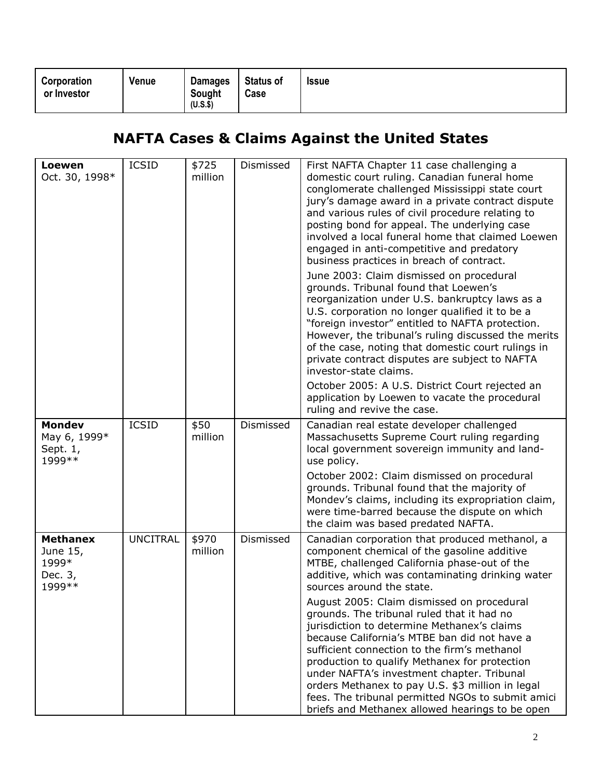| $(U.S.$ \$) | Corporation<br>or Investor |  | Venue | <b>Damages</b><br>Sought | <b>Status of</b><br>Case | <b>Issue</b> |
|-------------|----------------------------|--|-------|--------------------------|--------------------------|--------------|
|-------------|----------------------------|--|-------|--------------------------|--------------------------|--------------|

# **NAFTA Cases & Claims Against the United States**

| Loewen<br>Oct. 30, 1998*                                   | <b>ICSID</b>    | \$725<br>million | Dismissed | First NAFTA Chapter 11 case challenging a<br>domestic court ruling. Canadian funeral home<br>conglomerate challenged Mississippi state court<br>jury's damage award in a private contract dispute<br>and various rules of civil procedure relating to<br>posting bond for appeal. The underlying case<br>involved a local funeral home that claimed Loewen<br>engaged in anti-competitive and predatory<br>business practices in breach of contract.<br>June 2003: Claim dismissed on procedural<br>grounds. Tribunal found that Loewen's<br>reorganization under U.S. bankruptcy laws as a<br>U.S. corporation no longer qualified it to be a<br>"foreign investor" entitled to NAFTA protection.<br>However, the tribunal's ruling discussed the merits<br>of the case, noting that domestic court rulings in<br>private contract disputes are subject to NAFTA<br>investor-state claims. |
|------------------------------------------------------------|-----------------|------------------|-----------|---------------------------------------------------------------------------------------------------------------------------------------------------------------------------------------------------------------------------------------------------------------------------------------------------------------------------------------------------------------------------------------------------------------------------------------------------------------------------------------------------------------------------------------------------------------------------------------------------------------------------------------------------------------------------------------------------------------------------------------------------------------------------------------------------------------------------------------------------------------------------------------------|
|                                                            |                 |                  |           | October 2005: A U.S. District Court rejected an<br>application by Loewen to vacate the procedural<br>ruling and revive the case.                                                                                                                                                                                                                                                                                                                                                                                                                                                                                                                                                                                                                                                                                                                                                            |
| <b>Mondev</b><br>May 6, 1999*<br>Sept. 1,<br>1999 **       | <b>ICSID</b>    | \$50<br>million  | Dismissed | Canadian real estate developer challenged<br>Massachusetts Supreme Court ruling regarding<br>local government sovereign immunity and land-<br>use policy.<br>October 2002: Claim dismissed on procedural<br>grounds. Tribunal found that the majority of<br>Mondev's claims, including its expropriation claim,<br>were time-barred because the dispute on which<br>the claim was based predated NAFTA.                                                                                                                                                                                                                                                                                                                                                                                                                                                                                     |
| <b>Methanex</b><br>June 15,<br>1999*<br>Dec. 3,<br>1999 ** | <b>UNCITRAL</b> | \$970<br>million | Dismissed | Canadian corporation that produced methanol, a<br>component chemical of the gasoline additive<br>MTBE, challenged California phase-out of the<br>additive, which was contaminating drinking water<br>sources around the state.                                                                                                                                                                                                                                                                                                                                                                                                                                                                                                                                                                                                                                                              |
|                                                            |                 |                  |           | August 2005: Claim dismissed on procedural<br>grounds. The tribunal ruled that it had no<br>jurisdiction to determine Methanex's claims<br>because California's MTBE ban did not have a<br>sufficient connection to the firm's methanol<br>production to qualify Methanex for protection<br>under NAFTA's investment chapter. Tribunal<br>orders Methanex to pay U.S. \$3 million in legal<br>fees. The tribunal permitted NGOs to submit amici<br>briefs and Methanex allowed hearings to be open                                                                                                                                                                                                                                                                                                                                                                                          |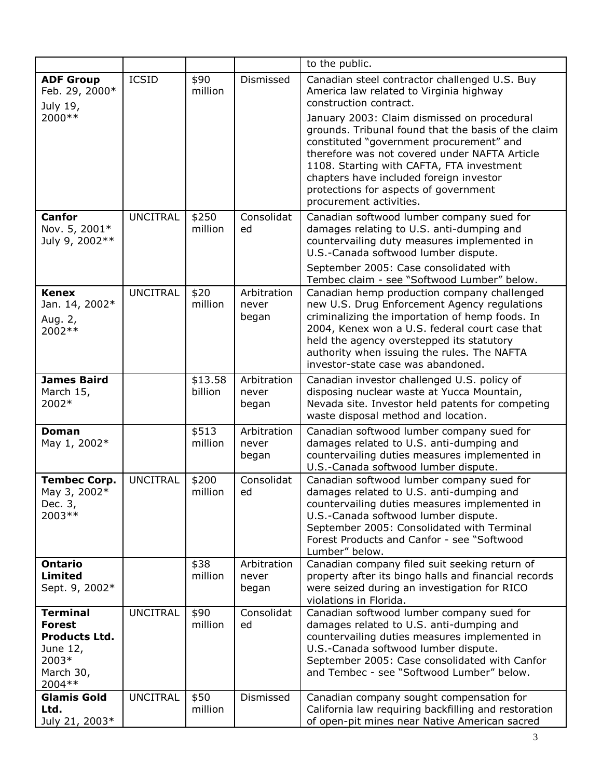|                                                                                                       |                 |                    |                               | to the public.                                                                                                                                                                                                                                                                                                                                                                                                                                                                    |
|-------------------------------------------------------------------------------------------------------|-----------------|--------------------|-------------------------------|-----------------------------------------------------------------------------------------------------------------------------------------------------------------------------------------------------------------------------------------------------------------------------------------------------------------------------------------------------------------------------------------------------------------------------------------------------------------------------------|
| <b>ADF Group</b><br>Feb. 29, 2000*<br>July 19,<br>2000 **                                             | <b>ICSID</b>    | \$90<br>million    | Dismissed                     | Canadian steel contractor challenged U.S. Buy<br>America law related to Virginia highway<br>construction contract.<br>January 2003: Claim dismissed on procedural<br>grounds. Tribunal found that the basis of the claim<br>constituted "government procurement" and<br>therefore was not covered under NAFTA Article<br>1108. Starting with CAFTA, FTA investment<br>chapters have included foreign investor<br>protections for aspects of government<br>procurement activities. |
| <b>Canfor</b><br>Nov. 5, 2001*<br>July 9, 2002**                                                      | <b>UNCITRAL</b> | \$250<br>million   | Consolidat<br>ed              | Canadian softwood lumber company sued for<br>damages relating to U.S. anti-dumping and<br>countervailing duty measures implemented in<br>U.S.-Canada softwood lumber dispute.<br>September 2005: Case consolidated with<br>Tembec claim - see "Softwood Lumber" below.                                                                                                                                                                                                            |
| <b>Kenex</b><br>Jan. 14, 2002*<br>Aug. 2,<br>2002 **                                                  | <b>UNCITRAL</b> | \$20<br>million    | Arbitration<br>never<br>began | Canadian hemp production company challenged<br>new U.S. Drug Enforcement Agency regulations<br>criminalizing the importation of hemp foods. In<br>2004, Kenex won a U.S. federal court case that<br>held the agency overstepped its statutory<br>authority when issuing the rules. The NAFTA<br>investor-state case was abandoned.                                                                                                                                                |
| <b>James Baird</b><br>March 15,<br>2002*                                                              |                 | \$13.58<br>billion | Arbitration<br>never<br>began | Canadian investor challenged U.S. policy of<br>disposing nuclear waste at Yucca Mountain,<br>Nevada site. Investor held patents for competing<br>waste disposal method and location.                                                                                                                                                                                                                                                                                              |
| <b>Doman</b><br>May 1, 2002*                                                                          |                 | \$513<br>million   | Arbitration<br>never<br>began | Canadian softwood lumber company sued for<br>damages related to U.S. anti-dumping and<br>countervailing duties measures implemented in<br>U.S.-Canada softwood lumber dispute.                                                                                                                                                                                                                                                                                                    |
| <b>Tembec Corp.</b><br>May 3, 2002*<br>Dec. 3,<br>2003 **                                             | <b>UNCITRAL</b> | \$200<br>million   | Consolidat<br>ed              | Canadian softwood lumber company sued for<br>damages related to U.S. anti-dumping and<br>countervailing duties measures implemented in<br>U.S.-Canada softwood lumber dispute.<br>September 2005: Consolidated with Terminal<br>Forest Products and Canfor - see "Softwood<br>Lumber" below.                                                                                                                                                                                      |
| <b>Ontario</b><br><b>Limited</b><br>Sept. 9, 2002*                                                    |                 | \$38<br>million    | Arbitration<br>never<br>began | Canadian company filed suit seeking return of<br>property after its bingo halls and financial records<br>were seized during an investigation for RICO<br>violations in Florida.                                                                                                                                                                                                                                                                                                   |
| <b>Terminal</b><br><b>Forest</b><br><b>Products Ltd.</b><br>June 12,<br>2003*<br>March 30,<br>2004 ** | <b>UNCITRAL</b> | \$90<br>million    | Consolidat<br>ed              | Canadian softwood lumber company sued for<br>damages related to U.S. anti-dumping and<br>countervailing duties measures implemented in<br>U.S.-Canada softwood lumber dispute.<br>September 2005: Case consolidated with Canfor<br>and Tembec - see "Softwood Lumber" below.                                                                                                                                                                                                      |
| <b>Glamis Gold</b><br>Ltd.<br>July 21, 2003*                                                          | <b>UNCITRAL</b> | \$50<br>million    | Dismissed                     | Canadian company sought compensation for<br>California law requiring backfilling and restoration<br>of open-pit mines near Native American sacred                                                                                                                                                                                                                                                                                                                                 |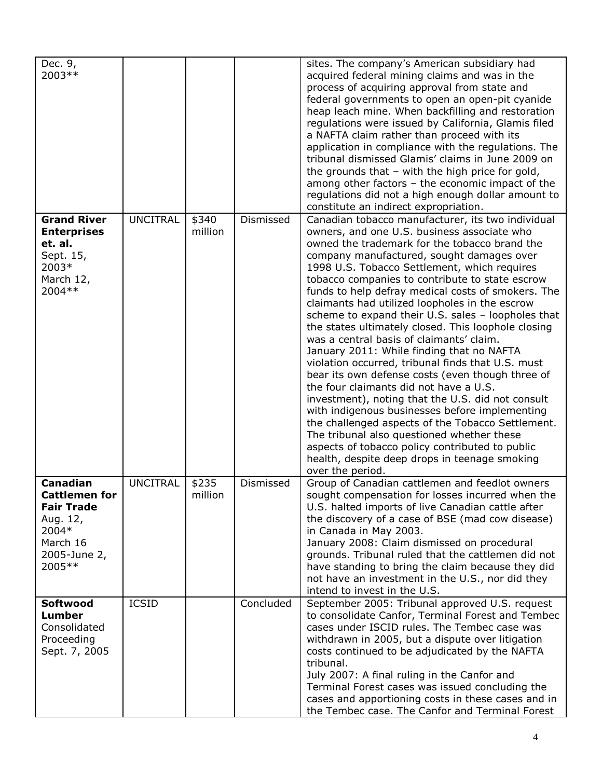| Dec. 9,<br>2003**                                                                                                 |                 |                  |           | sites. The company's American subsidiary had<br>acquired federal mining claims and was in the<br>process of acquiring approval from state and<br>federal governments to open an open-pit cyanide<br>heap leach mine. When backfilling and restoration<br>regulations were issued by California, Glamis filed<br>a NAFTA claim rather than proceed with its<br>application in compliance with the regulations. The<br>tribunal dismissed Glamis' claims in June 2009 on<br>the grounds that $-$ with the high price for gold,<br>among other factors - the economic impact of the<br>regulations did not a high enough dollar amount to<br>constitute an indirect expropriation.                                                                                                                                                                                                                                                                                                                                                                                                                      |
|-------------------------------------------------------------------------------------------------------------------|-----------------|------------------|-----------|------------------------------------------------------------------------------------------------------------------------------------------------------------------------------------------------------------------------------------------------------------------------------------------------------------------------------------------------------------------------------------------------------------------------------------------------------------------------------------------------------------------------------------------------------------------------------------------------------------------------------------------------------------------------------------------------------------------------------------------------------------------------------------------------------------------------------------------------------------------------------------------------------------------------------------------------------------------------------------------------------------------------------------------------------------------------------------------------------|
| <b>Grand River</b><br><b>Enterprises</b><br>et. al.<br>Sept. 15,<br>2003*<br>March 12,<br>2004 **                 | <b>UNCITRAL</b> | \$340<br>million | Dismissed | Canadian tobacco manufacturer, its two individual<br>owners, and one U.S. business associate who<br>owned the trademark for the tobacco brand the<br>company manufactured, sought damages over<br>1998 U.S. Tobacco Settlement, which requires<br>tobacco companies to contribute to state escrow<br>funds to help defray medical costs of smokers. The<br>claimants had utilized loopholes in the escrow<br>scheme to expand their U.S. sales - loopholes that<br>the states ultimately closed. This loophole closing<br>was a central basis of claimants' claim.<br>January 2011: While finding that no NAFTA<br>violation occurred, tribunal finds that U.S. must<br>bear its own defense costs (even though three of<br>the four claimants did not have a U.S.<br>investment), noting that the U.S. did not consult<br>with indigenous businesses before implementing<br>the challenged aspects of the Tobacco Settlement.<br>The tribunal also questioned whether these<br>aspects of tobacco policy contributed to public<br>health, despite deep drops in teenage smoking<br>over the period. |
| Canadian<br><b>Cattlemen for</b><br><b>Fair Trade</b><br>Aug. 12,<br>2004*<br>March 16<br>2005-June 2,<br>2005 ** | <b>UNCITRAL</b> | \$235<br>million | Dismissed | Group of Canadian cattlemen and feedlot owners<br>sought compensation for losses incurred when the<br>U.S. halted imports of live Canadian cattle after<br>the discovery of a case of BSE (mad cow disease)<br>in Canada in May 2003.<br>January 2008: Claim dismissed on procedural<br>grounds. Tribunal ruled that the cattlemen did not<br>have standing to bring the claim because they did<br>not have an investment in the U.S., nor did they<br>intend to invest in the U.S.                                                                                                                                                                                                                                                                                                                                                                                                                                                                                                                                                                                                                  |
| Softwood<br>Lumber<br>Consolidated<br>Proceeding<br>Sept. 7, 2005                                                 | <b>ICSID</b>    |                  | Concluded | September 2005: Tribunal approved U.S. request<br>to consolidate Canfor, Terminal Forest and Tembec<br>cases under ISCID rules. The Tembec case was<br>withdrawn in 2005, but a dispute over litigation<br>costs continued to be adjudicated by the NAFTA<br>tribunal.<br>July 2007: A final ruling in the Canfor and<br>Terminal Forest cases was issued concluding the<br>cases and apportioning costs in these cases and in<br>the Tembec case. The Canfor and Terminal Forest                                                                                                                                                                                                                                                                                                                                                                                                                                                                                                                                                                                                                    |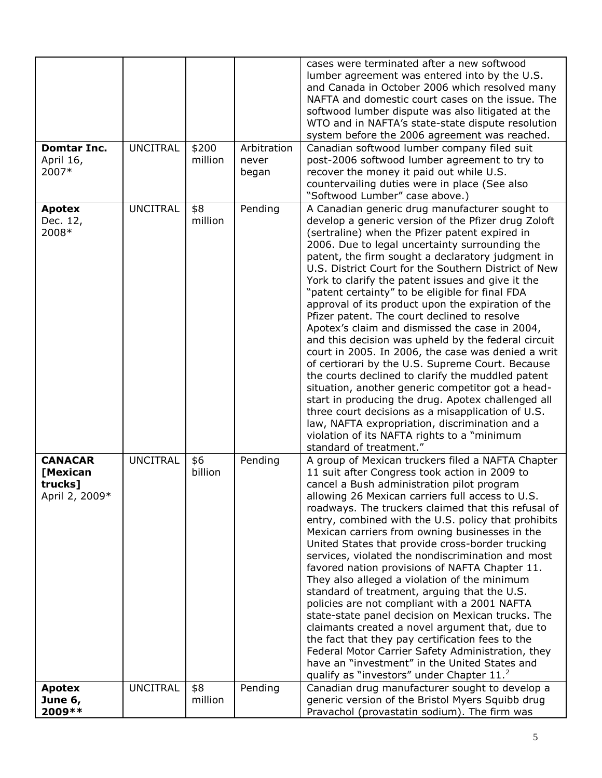| <b>Domtar Inc.</b><br>April 16,<br>2007*                | <b>UNCITRAL</b> | \$200<br>million | Arbitration<br>never<br>began | cases were terminated after a new softwood<br>lumber agreement was entered into by the U.S.<br>and Canada in October 2006 which resolved many<br>NAFTA and domestic court cases on the issue. The<br>softwood lumber dispute was also litigated at the<br>WTO and in NAFTA's state-state dispute resolution<br>system before the 2006 agreement was reached.<br>Canadian softwood lumber company filed suit<br>post-2006 softwood lumber agreement to try to<br>recover the money it paid out while U.S.<br>countervailing duties were in place (See also<br>"Softwood Lumber" case above.)                                                                                                                                                                                                                                                                                                                                                                                                                                                                                                              |
|---------------------------------------------------------|-----------------|------------------|-------------------------------|----------------------------------------------------------------------------------------------------------------------------------------------------------------------------------------------------------------------------------------------------------------------------------------------------------------------------------------------------------------------------------------------------------------------------------------------------------------------------------------------------------------------------------------------------------------------------------------------------------------------------------------------------------------------------------------------------------------------------------------------------------------------------------------------------------------------------------------------------------------------------------------------------------------------------------------------------------------------------------------------------------------------------------------------------------------------------------------------------------|
| <b>Apotex</b><br>Dec. 12,<br>2008*                      | <b>UNCITRAL</b> | \$8<br>million   | Pending                       | A Canadian generic drug manufacturer sought to<br>develop a generic version of the Pfizer drug Zoloft<br>(sertraline) when the Pfizer patent expired in<br>2006. Due to legal uncertainty surrounding the<br>patent, the firm sought a declaratory judgment in<br>U.S. District Court for the Southern District of New<br>York to clarify the patent issues and give it the<br>"patent certainty" to be eligible for final FDA<br>approval of its product upon the expiration of the<br>Pfizer patent. The court declined to resolve<br>Apotex's claim and dismissed the case in 2004,<br>and this decision was upheld by the federal circuit<br>court in 2005. In 2006, the case was denied a writ<br>of certiorari by the U.S. Supreme Court. Because<br>the courts declined to clarify the muddled patent<br>situation, another generic competitor got a head-<br>start in producing the drug. Apotex challenged all<br>three court decisions as a misapplication of U.S.<br>law, NAFTA expropriation, discrimination and a<br>violation of its NAFTA rights to a "minimum<br>standard of treatment." |
| <b>CANACAR</b><br>[Mexican<br>trucks]<br>April 2, 2009* | <b>UNCITRAL</b> | \$6<br>billion   | Pending                       | A group of Mexican truckers filed a NAFTA Chapter<br>11 suit after Congress took action in 2009 to<br>cancel a Bush administration pilot program<br>allowing 26 Mexican carriers full access to U.S.<br>roadways. The truckers claimed that this refusal of<br>entry, combined with the U.S. policy that prohibits<br>Mexican carriers from owning businesses in the<br>United States that provide cross-border trucking<br>services, violated the nondiscrimination and most<br>favored nation provisions of NAFTA Chapter 11.<br>They also alleged a violation of the minimum<br>standard of treatment, arguing that the U.S.<br>policies are not compliant with a 2001 NAFTA<br>state-state panel decision on Mexican trucks. The<br>claimants created a novel argument that, due to<br>the fact that they pay certification fees to the<br>Federal Motor Carrier Safety Administration, they<br>have an "investment" in the United States and<br>qualify as "investors" under Chapter 11. <sup>2</sup>                                                                                               |
| <b>Apotex</b><br>June 6,                                | <b>UNCITRAL</b> | \$8<br>million   | Pending                       | Canadian drug manufacturer sought to develop a<br>generic version of the Bristol Myers Squibb drug                                                                                                                                                                                                                                                                                                                                                                                                                                                                                                                                                                                                                                                                                                                                                                                                                                                                                                                                                                                                       |
| 2009 **                                                 |                 |                  |                               | Pravachol (provastatin sodium). The firm was                                                                                                                                                                                                                                                                                                                                                                                                                                                                                                                                                                                                                                                                                                                                                                                                                                                                                                                                                                                                                                                             |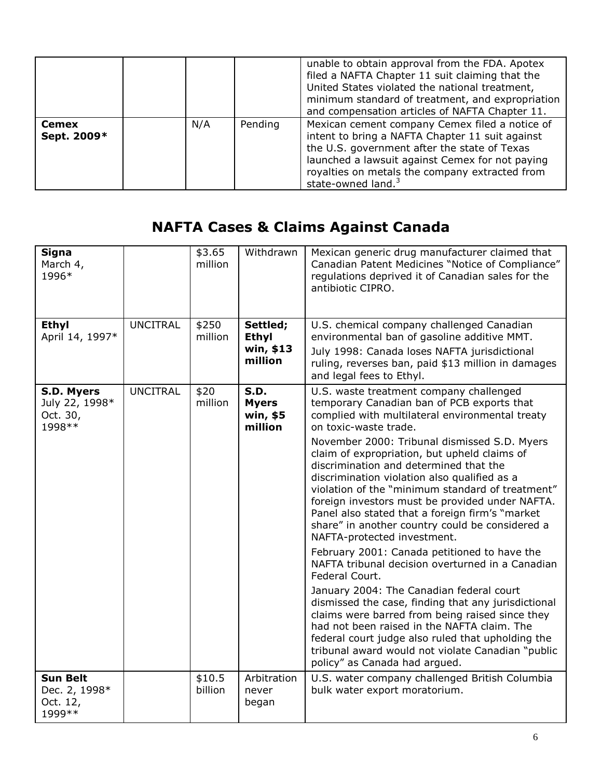|                             |     |         | unable to obtain approval from the FDA. Apotex<br>filed a NAFTA Chapter 11 suit claiming that the<br>United States violated the national treatment,<br>minimum standard of treatment, and expropriation<br>and compensation articles of NAFTA Chapter 11.                                |
|-----------------------------|-----|---------|------------------------------------------------------------------------------------------------------------------------------------------------------------------------------------------------------------------------------------------------------------------------------------------|
| <b>Cemex</b><br>Sept. 2009* | N/A | Pending | Mexican cement company Cemex filed a notice of<br>intent to bring a NAFTA Chapter 11 suit against<br>the U.S. government after the state of Texas<br>launched a lawsuit against Cemex for not paying<br>royalties on metals the company extracted from<br>state-owned land. <sup>3</sup> |

# **NAFTA Cases & Claims Against Canada**

| <b>Signa</b><br>March 4,<br>1996*                       |                 | \$3.65<br>million | Withdrawn                                        | Mexican generic drug manufacturer claimed that<br>Canadian Patent Medicines "Notice of Compliance"<br>regulations deprived it of Canadian sales for the<br>antibiotic CIPRO.                                                                                                                                                                                                                                                                                                                                                                                                                                                                                                                                                                                                                                                                                                                                                                                                                                                                                                  |
|---------------------------------------------------------|-----------------|-------------------|--------------------------------------------------|-------------------------------------------------------------------------------------------------------------------------------------------------------------------------------------------------------------------------------------------------------------------------------------------------------------------------------------------------------------------------------------------------------------------------------------------------------------------------------------------------------------------------------------------------------------------------------------------------------------------------------------------------------------------------------------------------------------------------------------------------------------------------------------------------------------------------------------------------------------------------------------------------------------------------------------------------------------------------------------------------------------------------------------------------------------------------------|
| Ethyl<br>April 14, 1997*                                | <b>UNCITRAL</b> | \$250<br>million  | Settled;<br><b>Ethyl</b><br>win, \$13<br>million | U.S. chemical company challenged Canadian<br>environmental ban of gasoline additive MMT.<br>July 1998: Canada loses NAFTA jurisdictional<br>ruling, reverses ban, paid \$13 million in damages<br>and legal fees to Ethyl.                                                                                                                                                                                                                                                                                                                                                                                                                                                                                                                                                                                                                                                                                                                                                                                                                                                    |
| S.D. Myers<br>July 22, 1998*<br>Oct. 30,<br>1998 **     | <b>UNCITRAL</b> | \$20<br>million   | S.D.<br><b>Myers</b><br>win, \$5<br>million      | U.S. waste treatment company challenged<br>temporary Canadian ban of PCB exports that<br>complied with multilateral environmental treaty<br>on toxic-waste trade.<br>November 2000: Tribunal dismissed S.D. Myers<br>claim of expropriation, but upheld claims of<br>discrimination and determined that the<br>discrimination violation also qualified as a<br>violation of the "minimum standard of treatment"<br>foreign investors must be provided under NAFTA.<br>Panel also stated that a foreign firm's "market<br>share" in another country could be considered a<br>NAFTA-protected investment.<br>February 2001: Canada petitioned to have the<br>NAFTA tribunal decision overturned in a Canadian<br>Federal Court.<br>January 2004: The Canadian federal court<br>dismissed the case, finding that any jurisdictional<br>claims were barred from being raised since they<br>had not been raised in the NAFTA claim. The<br>federal court judge also ruled that upholding the<br>tribunal award would not violate Canadian "public<br>policy" as Canada had argued. |
| <b>Sun Belt</b><br>Dec. 2, 1998*<br>Oct. 12,<br>1999 ** |                 | \$10.5<br>billion | Arbitration<br>never<br>began                    | U.S. water company challenged British Columbia<br>bulk water export moratorium.                                                                                                                                                                                                                                                                                                                                                                                                                                                                                                                                                                                                                                                                                                                                                                                                                                                                                                                                                                                               |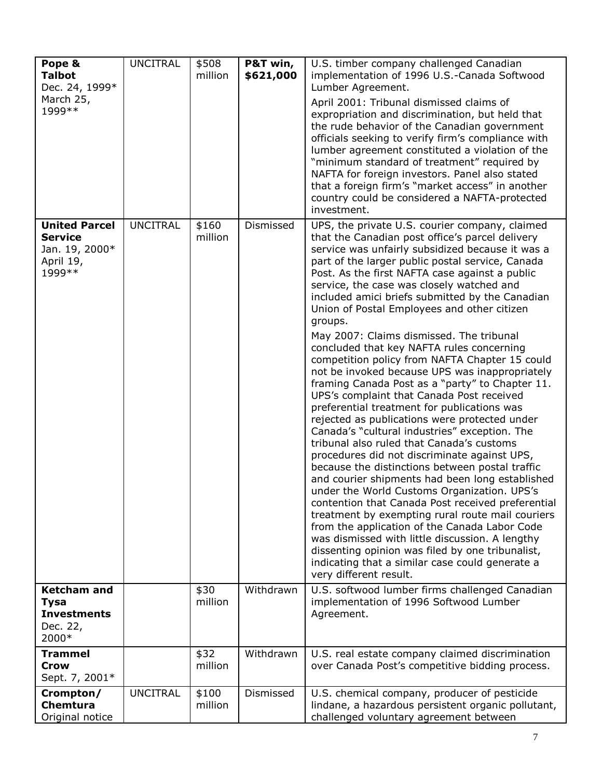| Pope &<br><b>Talbot</b><br>Dec. 24, 1999*<br>March 25,<br>1999 **                | <b>UNCITRAL</b> | \$508<br>million | P&T win,<br>\$621,000 | U.S. timber company challenged Canadian<br>implementation of 1996 U.S.-Canada Softwood<br>Lumber Agreement.<br>April 2001: Tribunal dismissed claims of<br>expropriation and discrimination, but held that<br>the rude behavior of the Canadian government<br>officials seeking to verify firm's compliance with<br>lumber agreement constituted a violation of the<br>"minimum standard of treatment" required by<br>NAFTA for foreign investors. Panel also stated<br>that a foreign firm's "market access" in another<br>country could be considered a NAFTA-protected<br>investment.                                                                                                                                                                                                                                                                                                                                                                                                                                                                                                                                                                                                                                                                                                                                                                                                                                                                            |
|----------------------------------------------------------------------------------|-----------------|------------------|-----------------------|---------------------------------------------------------------------------------------------------------------------------------------------------------------------------------------------------------------------------------------------------------------------------------------------------------------------------------------------------------------------------------------------------------------------------------------------------------------------------------------------------------------------------------------------------------------------------------------------------------------------------------------------------------------------------------------------------------------------------------------------------------------------------------------------------------------------------------------------------------------------------------------------------------------------------------------------------------------------------------------------------------------------------------------------------------------------------------------------------------------------------------------------------------------------------------------------------------------------------------------------------------------------------------------------------------------------------------------------------------------------------------------------------------------------------------------------------------------------|
| <b>United Parcel</b><br><b>Service</b><br>Jan. 19, 2000*<br>April 19,<br>1999 ** | <b>UNCITRAL</b> | \$160<br>million | Dismissed             | UPS, the private U.S. courier company, claimed<br>that the Canadian post office's parcel delivery<br>service was unfairly subsidized because it was a<br>part of the larger public postal service, Canada<br>Post. As the first NAFTA case against a public<br>service, the case was closely watched and<br>included amici briefs submitted by the Canadian<br>Union of Postal Employees and other citizen<br>groups.<br>May 2007: Claims dismissed. The tribunal<br>concluded that key NAFTA rules concerning<br>competition policy from NAFTA Chapter 15 could<br>not be invoked because UPS was inappropriately<br>framing Canada Post as a "party" to Chapter 11.<br>UPS's complaint that Canada Post received<br>preferential treatment for publications was<br>rejected as publications were protected under<br>Canada's "cultural industries" exception. The<br>tribunal also ruled that Canada's customs<br>procedures did not discriminate against UPS,<br>because the distinctions between postal traffic<br>and courier shipments had been long established<br>under the World Customs Organization. UPS's<br>contention that Canada Post received preferential<br>treatment by exempting rural route mail couriers<br>from the application of the Canada Labor Code<br>was dismissed with little discussion. A lengthy<br>dissenting opinion was filed by one tribunalist,<br>indicating that a similar case could generate a<br>very different result. |
| <b>Ketcham and</b><br><b>Tysa</b><br><b>Investments</b><br>Dec. 22,<br>2000*     |                 | \$30<br>million  | Withdrawn             | U.S. softwood lumber firms challenged Canadian<br>implementation of 1996 Softwood Lumber<br>Agreement.                                                                                                                                                                                                                                                                                                                                                                                                                                                                                                                                                                                                                                                                                                                                                                                                                                                                                                                                                                                                                                                                                                                                                                                                                                                                                                                                                              |
| <b>Trammel</b><br><b>Crow</b><br>Sept. 7, 2001*                                  |                 | \$32<br>million  | Withdrawn             | U.S. real estate company claimed discrimination<br>over Canada Post's competitive bidding process.                                                                                                                                                                                                                                                                                                                                                                                                                                                                                                                                                                                                                                                                                                                                                                                                                                                                                                                                                                                                                                                                                                                                                                                                                                                                                                                                                                  |
| Crompton/<br><b>Chemtura</b><br>Original notice                                  | <b>UNCITRAL</b> | \$100<br>million | Dismissed             | U.S. chemical company, producer of pesticide<br>lindane, a hazardous persistent organic pollutant,<br>challenged voluntary agreement between                                                                                                                                                                                                                                                                                                                                                                                                                                                                                                                                                                                                                                                                                                                                                                                                                                                                                                                                                                                                                                                                                                                                                                                                                                                                                                                        |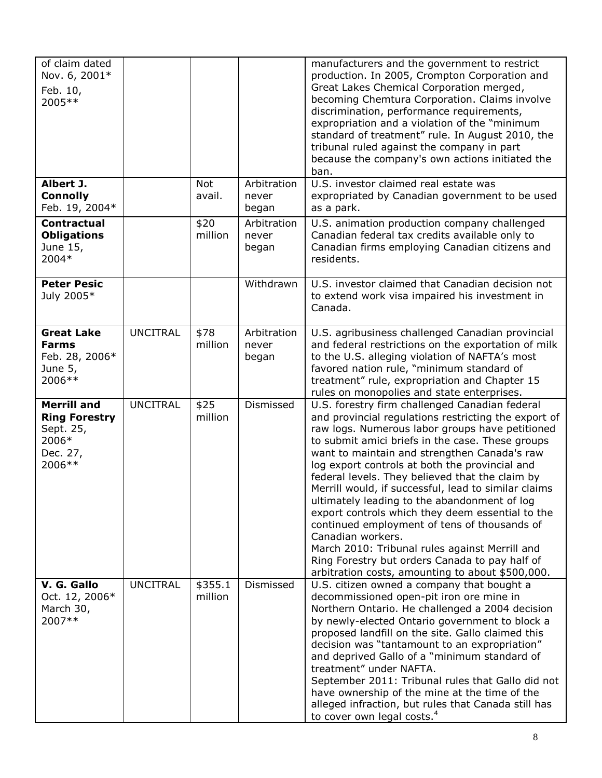| of claim dated<br>Nov. 6, 2001*<br>Feb. 10,<br>2005 **                                 |                 |                    |                               | manufacturers and the government to restrict<br>production. In 2005, Crompton Corporation and<br>Great Lakes Chemical Corporation merged,<br>becoming Chemtura Corporation. Claims involve<br>discrimination, performance requirements,<br>expropriation and a violation of the "minimum<br>standard of treatment" rule. In August 2010, the<br>tribunal ruled against the company in part<br>because the company's own actions initiated the<br>ban.                                                                                                                                                                                                                                                                                                       |
|----------------------------------------------------------------------------------------|-----------------|--------------------|-------------------------------|-------------------------------------------------------------------------------------------------------------------------------------------------------------------------------------------------------------------------------------------------------------------------------------------------------------------------------------------------------------------------------------------------------------------------------------------------------------------------------------------------------------------------------------------------------------------------------------------------------------------------------------------------------------------------------------------------------------------------------------------------------------|
| Albert J.<br><b>Connolly</b><br>Feb. 19, 2004*                                         |                 | Not<br>avail.      | Arbitration<br>never<br>began | U.S. investor claimed real estate was<br>expropriated by Canadian government to be used<br>as a park.                                                                                                                                                                                                                                                                                                                                                                                                                                                                                                                                                                                                                                                       |
| <b>Contractual</b><br><b>Obligations</b><br>June 15,<br>2004*                          |                 | \$20<br>million    | Arbitration<br>never<br>began | U.S. animation production company challenged<br>Canadian federal tax credits available only to<br>Canadian firms employing Canadian citizens and<br>residents.                                                                                                                                                                                                                                                                                                                                                                                                                                                                                                                                                                                              |
| <b>Peter Pesic</b><br>July 2005*                                                       |                 |                    | Withdrawn                     | U.S. investor claimed that Canadian decision not<br>to extend work visa impaired his investment in<br>Canada.                                                                                                                                                                                                                                                                                                                                                                                                                                                                                                                                                                                                                                               |
| <b>Great Lake</b><br><b>Farms</b><br>Feb. 28, 2006*<br>June 5,<br>2006 **              | <b>UNCITRAL</b> | \$78<br>million    | Arbitration<br>never<br>began | U.S. agribusiness challenged Canadian provincial<br>and federal restrictions on the exportation of milk<br>to the U.S. alleging violation of NAFTA's most<br>favored nation rule, "minimum standard of<br>treatment" rule, expropriation and Chapter 15<br>rules on monopolies and state enterprises.                                                                                                                                                                                                                                                                                                                                                                                                                                                       |
| <b>Merrill and</b><br><b>Ring Forestry</b><br>Sept. 25,<br>2006*<br>Dec. 27,<br>2006** | <b>UNCITRAL</b> | \$25<br>million    | Dismissed                     | U.S. forestry firm challenged Canadian federal<br>and provincial regulations restricting the export of<br>raw logs. Numerous labor groups have petitioned<br>to submit amici briefs in the case. These groups<br>want to maintain and strengthen Canada's raw<br>log export controls at both the provincial and<br>federal levels. They believed that the claim by<br>Merrill would, if successful, lead to similar claims<br>ultimately leading to the abandonment of log<br>export controls which they deem essential to the<br>continued employment of tens of thousands of<br>Canadian workers.<br>March 2010: Tribunal rules against Merrill and<br>Ring Forestry but orders Canada to pay half of<br>arbitration costs, amounting to about \$500,000. |
| V. G. Gallo<br>Oct. 12, 2006*<br>March 30,<br>2007**                                   | <b>UNCITRAL</b> | \$355.1<br>million | Dismissed                     | U.S. citizen owned a company that bought a<br>decommissioned open-pit iron ore mine in<br>Northern Ontario. He challenged a 2004 decision<br>by newly-elected Ontario government to block a<br>proposed landfill on the site. Gallo claimed this<br>decision was "tantamount to an expropriation"<br>and deprived Gallo of a "minimum standard of<br>treatment" under NAFTA.<br>September 2011: Tribunal rules that Gallo did not<br>have ownership of the mine at the time of the<br>alleged infraction, but rules that Canada still has<br>to cover own legal costs. <sup>4</sup>                                                                                                                                                                         |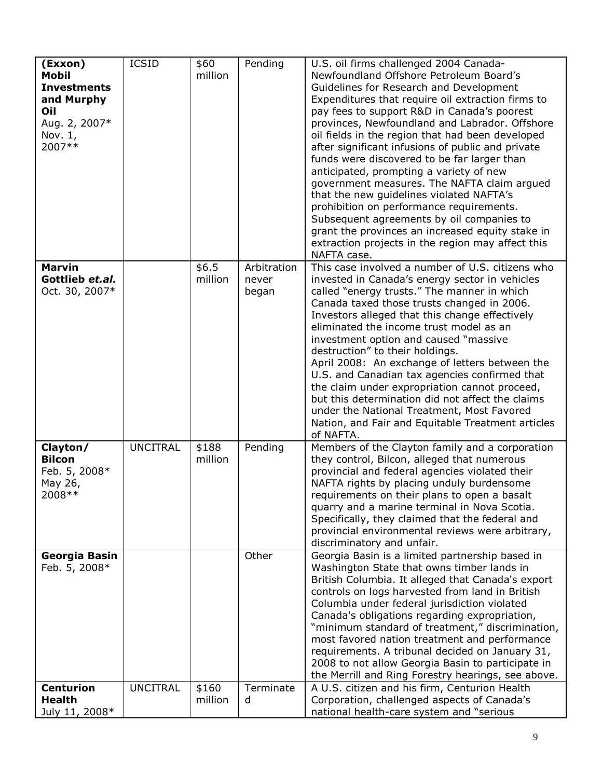| (Exxon)<br><b>Mobil</b><br><b>Investments</b><br>and Murphy<br>Oil<br>Aug. 2, 2007*<br>Nov. $1$ ,<br>2007** | <b>ICSID</b>    | \$60<br>million  | Pending                       | U.S. oil firms challenged 2004 Canada-<br>Newfoundland Offshore Petroleum Board's<br>Guidelines for Research and Development<br>Expenditures that require oil extraction firms to<br>pay fees to support R&D in Canada's poorest<br>provinces, Newfoundland and Labrador. Offshore<br>oil fields in the region that had been developed<br>after significant infusions of public and private<br>funds were discovered to be far larger than<br>anticipated, prompting a variety of new<br>government measures. The NAFTA claim argued<br>that the new guidelines violated NAFTA's<br>prohibition on performance requirements.<br>Subsequent agreements by oil companies to<br>grant the provinces an increased equity stake in<br>extraction projects in the region may affect this<br>NAFTA case. |
|-------------------------------------------------------------------------------------------------------------|-----------------|------------------|-------------------------------|---------------------------------------------------------------------------------------------------------------------------------------------------------------------------------------------------------------------------------------------------------------------------------------------------------------------------------------------------------------------------------------------------------------------------------------------------------------------------------------------------------------------------------------------------------------------------------------------------------------------------------------------------------------------------------------------------------------------------------------------------------------------------------------------------|
| <b>Marvin</b><br>Gottlieb et.al.<br>Oct. 30, 2007*                                                          |                 | \$6.5<br>million | Arbitration<br>never<br>began | This case involved a number of U.S. citizens who<br>invested in Canada's energy sector in vehicles<br>called "energy trusts." The manner in which<br>Canada taxed those trusts changed in 2006.<br>Investors alleged that this change effectively<br>eliminated the income trust model as an<br>investment option and caused "massive<br>destruction" to their holdings.<br>April 2008: An exchange of letters between the<br>U.S. and Canadian tax agencies confirmed that<br>the claim under expropriation cannot proceed,<br>but this determination did not affect the claims<br>under the National Treatment, Most Favored<br>Nation, and Fair and Equitable Treatment articles<br>of NAFTA.                                                                                                  |
| Clayton/<br><b>Bilcon</b><br>Feb. 5, 2008*<br>May 26,<br>2008 **                                            | <b>UNCITRAL</b> | \$188<br>million | Pending                       | Members of the Clayton family and a corporation<br>they control, Bilcon, alleged that numerous<br>provincial and federal agencies violated their<br>NAFTA rights by placing unduly burdensome<br>requirements on their plans to open a basalt<br>quarry and a marine terminal in Nova Scotia.<br>Specifically, they claimed that the federal and<br>provincial environmental reviews were arbitrary,<br>discriminatory and unfair.                                                                                                                                                                                                                                                                                                                                                                |
| Georgia Basin<br>Feb. 5, 2008*                                                                              |                 |                  | Other                         | Georgia Basin is a limited partnership based in<br>Washington State that owns timber lands in<br>British Columbia. It alleged that Canada's export<br>controls on logs harvested from land in British<br>Columbia under federal jurisdiction violated<br>Canada's obligations regarding expropriation,<br>"minimum standard of treatment," discrimination,<br>most favored nation treatment and performance<br>requirements. A tribunal decided on January 31,<br>2008 to not allow Georgia Basin to participate in<br>the Merrill and Ring Forestry hearings, see above.                                                                                                                                                                                                                         |
| <b>Centurion</b><br><b>Health</b><br>July 11, 2008*                                                         | <b>UNCITRAL</b> | \$160<br>million | Terminate<br>d                | A U.S. citizen and his firm, Centurion Health<br>Corporation, challenged aspects of Canada's<br>national health-care system and "serious                                                                                                                                                                                                                                                                                                                                                                                                                                                                                                                                                                                                                                                          |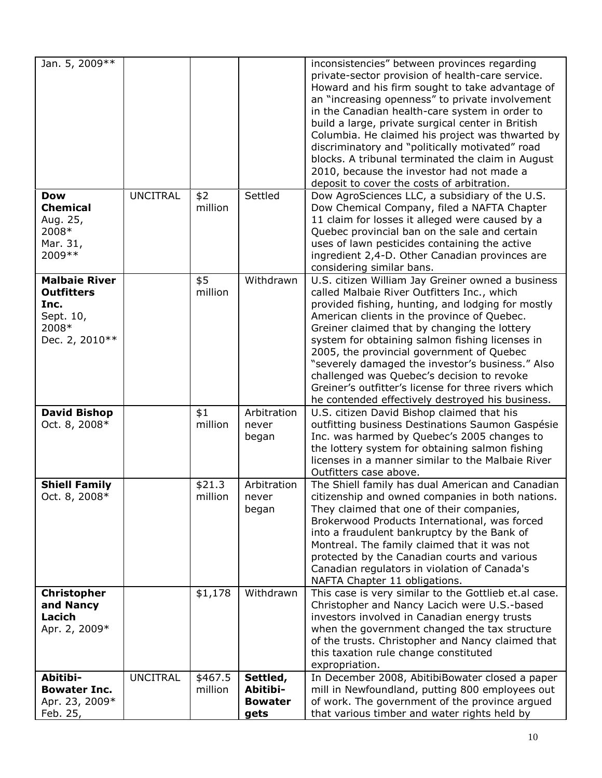| Jan. 5, 2009 **                                                                           |                 |                    |                                                | inconsistencies" between provinces regarding<br>private-sector provision of health-care service.<br>Howard and his firm sought to take advantage of<br>an "increasing openness" to private involvement<br>in the Canadian health-care system in order to<br>build a large, private surgical center in British<br>Columbia. He claimed his project was thwarted by<br>discriminatory and "politically motivated" road                                                                                                                                               |
|-------------------------------------------------------------------------------------------|-----------------|--------------------|------------------------------------------------|--------------------------------------------------------------------------------------------------------------------------------------------------------------------------------------------------------------------------------------------------------------------------------------------------------------------------------------------------------------------------------------------------------------------------------------------------------------------------------------------------------------------------------------------------------------------|
|                                                                                           |                 |                    |                                                | blocks. A tribunal terminated the claim in August<br>2010, because the investor had not made a<br>deposit to cover the costs of arbitration.                                                                                                                                                                                                                                                                                                                                                                                                                       |
| <b>Dow</b><br><b>Chemical</b><br>Aug. 25,<br>2008*<br>Mar. 31,<br>2009 **                 | <b>UNCITRAL</b> | \$2<br>million     | Settled                                        | Dow AgroSciences LLC, a subsidiary of the U.S.<br>Dow Chemical Company, filed a NAFTA Chapter<br>11 claim for losses it alleged were caused by a<br>Quebec provincial ban on the sale and certain<br>uses of lawn pesticides containing the active<br>ingredient 2,4-D. Other Canadian provinces are<br>considering similar bans.                                                                                                                                                                                                                                  |
| <b>Malbaie River</b><br><b>Outfitters</b><br>Inc.<br>Sept. 10,<br>2008*<br>Dec. 2, 2010** |                 | \$5<br>million     | Withdrawn                                      | U.S. citizen William Jay Greiner owned a business<br>called Malbaie River Outfitters Inc., which<br>provided fishing, hunting, and lodging for mostly<br>American clients in the province of Quebec.<br>Greiner claimed that by changing the lottery<br>system for obtaining salmon fishing licenses in<br>2005, the provincial government of Quebec<br>"severely damaged the investor's business." Also<br>challenged was Quebec's decision to revoke<br>Greiner's outfitter's license for three rivers which<br>he contended effectively destroyed his business. |
| <b>David Bishop</b><br>Oct. 8, 2008*                                                      |                 | \$1<br>million     | Arbitration<br>never<br>began                  | U.S. citizen David Bishop claimed that his<br>outfitting business Destinations Saumon Gaspésie<br>Inc. was harmed by Quebec's 2005 changes to<br>the lottery system for obtaining salmon fishing<br>licenses in a manner similar to the Malbaie River<br>Outfitters case above.                                                                                                                                                                                                                                                                                    |
| <b>Shiell Family</b><br>Oct. 8, 2008*                                                     |                 | \$21.3<br>million  | Arbitration<br>never<br>began                  | The Shiell family has dual American and Canadian<br>citizenship and owned companies in both nations.<br>They claimed that one of their companies,<br>Brokerwood Products International, was forced<br>into a fraudulent bankruptcy by the Bank of<br>Montreal. The family claimed that it was not<br>protected by the Canadian courts and various<br>Canadian regulators in violation of Canada's<br>NAFTA Chapter 11 obligations.                                                                                                                                 |
| <b>Christopher</b><br>and Nancy<br>Lacich<br>Apr. 2, 2009*                                |                 | \$1,178            | Withdrawn                                      | This case is very similar to the Gottlieb et al case.<br>Christopher and Nancy Lacich were U.S.-based<br>investors involved in Canadian energy trusts<br>when the government changed the tax structure<br>of the trusts. Christopher and Nancy claimed that<br>this taxation rule change constituted<br>expropriation.                                                                                                                                                                                                                                             |
| Abitibi-<br><b>Bowater Inc.</b><br>Apr. 23, 2009*<br>Feb. 25,                             | <b>UNCITRAL</b> | \$467.5<br>million | Settled,<br>Abitibi-<br><b>Bowater</b><br>gets | In December 2008, AbitibiBowater closed a paper<br>mill in Newfoundland, putting 800 employees out<br>of work. The government of the province argued<br>that various timber and water rights held by                                                                                                                                                                                                                                                                                                                                                               |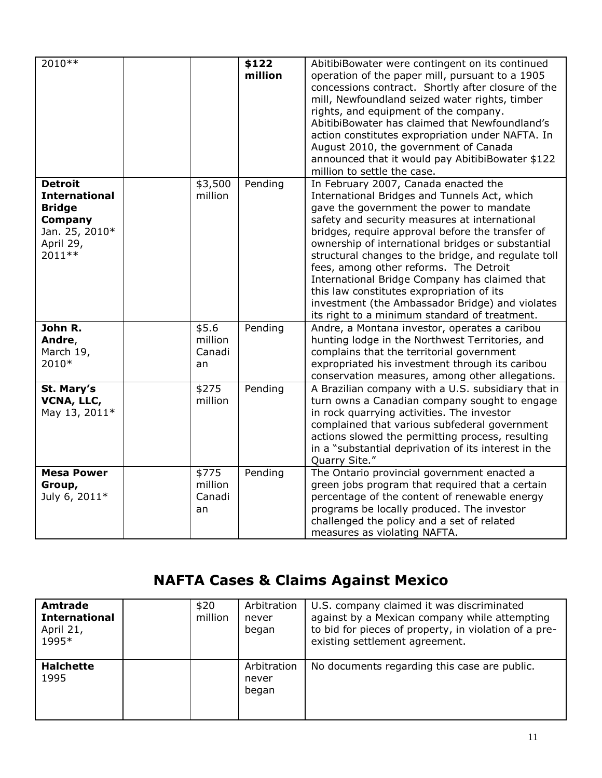| 2010 **                                                                                                      |                                  | \$122<br>million | AbitibiBowater were contingent on its continued<br>operation of the paper mill, pursuant to a 1905<br>concessions contract. Shortly after closure of the<br>mill, Newfoundland seized water rights, timber<br>rights, and equipment of the company.<br>AbitibiBowater has claimed that Newfoundland's<br>action constitutes expropriation under NAFTA. In<br>August 2010, the government of Canada<br>announced that it would pay AbitibiBowater \$122<br>million to settle the case.                                                                                                         |
|--------------------------------------------------------------------------------------------------------------|----------------------------------|------------------|-----------------------------------------------------------------------------------------------------------------------------------------------------------------------------------------------------------------------------------------------------------------------------------------------------------------------------------------------------------------------------------------------------------------------------------------------------------------------------------------------------------------------------------------------------------------------------------------------|
| <b>Detroit</b><br><b>International</b><br><b>Bridge</b><br>Company<br>Jan. 25, 2010*<br>April 29,<br>2011 ** | \$3,500<br>million               | Pending          | In February 2007, Canada enacted the<br>International Bridges and Tunnels Act, which<br>gave the government the power to mandate<br>safety and security measures at international<br>bridges, require approval before the transfer of<br>ownership of international bridges or substantial<br>structural changes to the bridge, and regulate toll<br>fees, among other reforms. The Detroit<br>International Bridge Company has claimed that<br>this law constitutes expropriation of its<br>investment (the Ambassador Bridge) and violates<br>its right to a minimum standard of treatment. |
| John R.<br>Andre,<br>March 19,<br>2010*                                                                      | \$5.6<br>million<br>Canadi<br>an | Pending          | Andre, a Montana investor, operates a caribou<br>hunting lodge in the Northwest Territories, and<br>complains that the territorial government<br>expropriated his investment through its caribou<br>conservation measures, among other allegations.                                                                                                                                                                                                                                                                                                                                           |
| St. Mary's<br>VCNA, LLC,<br>May 13, 2011*                                                                    | \$275<br>million                 | Pending          | A Brazilian company with a U.S. subsidiary that in<br>turn owns a Canadian company sought to engage<br>in rock quarrying activities. The investor<br>complained that various subfederal government<br>actions slowed the permitting process, resulting<br>in a "substantial deprivation of its interest in the<br>Quarry Site."                                                                                                                                                                                                                                                               |
| <b>Mesa Power</b><br>Group,<br>July 6, 2011*                                                                 | \$775<br>million<br>Canadi<br>an | Pending          | The Ontario provincial government enacted a<br>green jobs program that required that a certain<br>percentage of the content of renewable energy<br>programs be locally produced. The investor<br>challenged the policy and a set of related<br>measures as violating NAFTA.                                                                                                                                                                                                                                                                                                                   |

# **NAFTA Cases & Claims Against Mexico**

| Amtrade<br><b>International</b><br>April 21,<br>1995* | \$20<br>million | Arbitration<br>never<br>began | U.S. company claimed it was discriminated<br>against by a Mexican company while attempting<br>to bid for pieces of property, in violation of a pre-<br>existing settlement agreement. |
|-------------------------------------------------------|-----------------|-------------------------------|---------------------------------------------------------------------------------------------------------------------------------------------------------------------------------------|
| <b>Halchette</b><br>1995                              |                 | Arbitration<br>never<br>began | No documents regarding this case are public.                                                                                                                                          |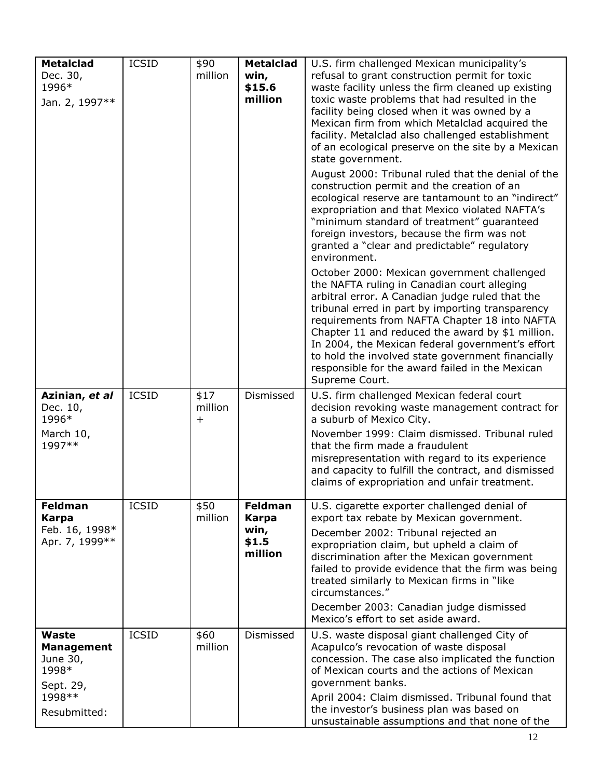| <b>Metalclad</b>                                                                        | <b>ICSID</b> | \$90                         | <b>Metalclad</b>                                           | U.S. firm challenged Mexican municipality's                                                                                                                                                                                                                                                                                                                                                                                                                                                                                                                                                                                                                                                                                                                                                                                                                                                                                                                                                                                                                                                                                                                                                                                                               |
|-----------------------------------------------------------------------------------------|--------------|------------------------------|------------------------------------------------------------|-----------------------------------------------------------------------------------------------------------------------------------------------------------------------------------------------------------------------------------------------------------------------------------------------------------------------------------------------------------------------------------------------------------------------------------------------------------------------------------------------------------------------------------------------------------------------------------------------------------------------------------------------------------------------------------------------------------------------------------------------------------------------------------------------------------------------------------------------------------------------------------------------------------------------------------------------------------------------------------------------------------------------------------------------------------------------------------------------------------------------------------------------------------------------------------------------------------------------------------------------------------|
| Dec. 30,<br>1996*<br>Jan. 2, 1997**                                                     |              | million                      | win,<br>\$15.6<br>million                                  | refusal to grant construction permit for toxic<br>waste facility unless the firm cleaned up existing<br>toxic waste problems that had resulted in the<br>facility being closed when it was owned by a<br>Mexican firm from which Metalclad acquired the<br>facility. Metalclad also challenged establishment<br>of an ecological preserve on the site by a Mexican<br>state government.<br>August 2000: Tribunal ruled that the denial of the<br>construction permit and the creation of an<br>ecological reserve are tantamount to an "indirect"<br>expropriation and that Mexico violated NAFTA's<br>"minimum standard of treatment" guaranteed<br>foreign investors, because the firm was not<br>granted a "clear and predictable" regulatory<br>environment.<br>October 2000: Mexican government challenged<br>the NAFTA ruling in Canadian court alleging<br>arbitral error. A Canadian judge ruled that the<br>tribunal erred in part by importing transparency<br>requirements from NAFTA Chapter 18 into NAFTA<br>Chapter 11 and reduced the award by $$1$ million.<br>In 2004, the Mexican federal government's effort<br>to hold the involved state government financially<br>responsible for the award failed in the Mexican<br>Supreme Court. |
| Azinian, et al<br>Dec. 10,<br>1996*<br>March 10,<br>1997**                              | <b>ICSID</b> | \$17<br>million<br>$\ddot{}$ | Dismissed                                                  | U.S. firm challenged Mexican federal court<br>decision revoking waste management contract for<br>a suburb of Mexico City.<br>November 1999: Claim dismissed. Tribunal ruled<br>that the firm made a fraudulent<br>misrepresentation with regard to its experience<br>and capacity to fulfill the contract, and dismissed<br>claims of expropriation and unfair treatment.                                                                                                                                                                                                                                                                                                                                                                                                                                                                                                                                                                                                                                                                                                                                                                                                                                                                                 |
| <b>Feldman</b><br><b>Karpa</b><br>Feb. 16, 1998*<br>Apr. 7, 1999 **                     | <b>ICSID</b> | \$50<br>million              | <b>Feldman</b><br><b>Karpa</b><br>win,<br>\$1.5<br>million | U.S. cigarette exporter challenged denial of<br>export tax rebate by Mexican government.<br>December 2002: Tribunal rejected an<br>expropriation claim, but upheld a claim of<br>discrimination after the Mexican government<br>failed to provide evidence that the firm was being<br>treated similarly to Mexican firms in "like<br>circumstances."<br>December 2003: Canadian judge dismissed<br>Mexico's effort to set aside award.                                                                                                                                                                                                                                                                                                                                                                                                                                                                                                                                                                                                                                                                                                                                                                                                                    |
| Waste<br><b>Management</b><br>June 30,<br>1998*<br>Sept. 29,<br>1998 **<br>Resubmitted: | <b>ICSID</b> | \$60<br>million              | Dismissed                                                  | U.S. waste disposal giant challenged City of<br>Acapulco's revocation of waste disposal<br>concession. The case also implicated the function<br>of Mexican courts and the actions of Mexican<br>government banks.<br>April 2004: Claim dismissed. Tribunal found that<br>the investor's business plan was based on<br>unsustainable assumptions and that none of the                                                                                                                                                                                                                                                                                                                                                                                                                                                                                                                                                                                                                                                                                                                                                                                                                                                                                      |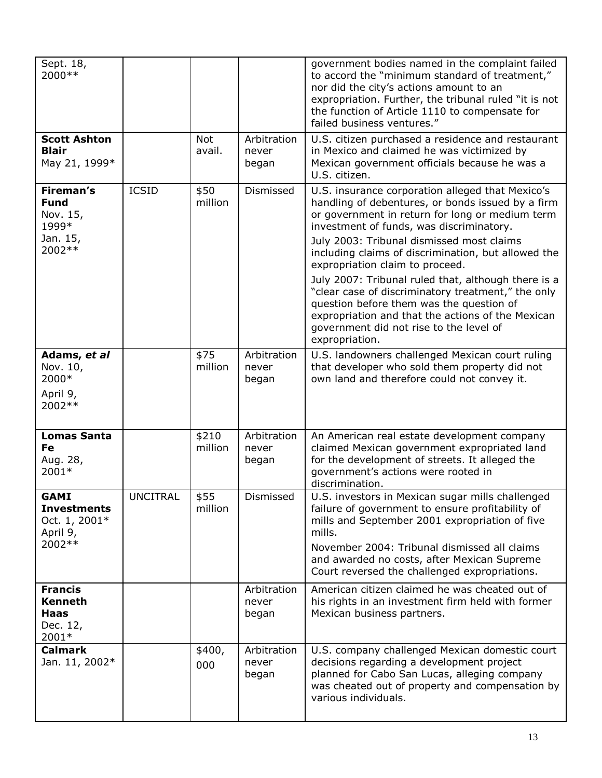| Sept. 18,<br>2000 **                                                        |                 |                      |                               | government bodies named in the complaint failed<br>to accord the "minimum standard of treatment,"<br>nor did the city's actions amount to an<br>expropriation. Further, the tribunal ruled "it is not<br>the function of Article 1110 to compensate for<br>failed business ventures."                                                                                                                                                                                                                                                                                                                                  |
|-----------------------------------------------------------------------------|-----------------|----------------------|-------------------------------|------------------------------------------------------------------------------------------------------------------------------------------------------------------------------------------------------------------------------------------------------------------------------------------------------------------------------------------------------------------------------------------------------------------------------------------------------------------------------------------------------------------------------------------------------------------------------------------------------------------------|
| <b>Scott Ashton</b><br><b>Blair</b><br>May 21, 1999*                        |                 | <b>Not</b><br>avail. | Arbitration<br>never<br>began | U.S. citizen purchased a residence and restaurant<br>in Mexico and claimed he was victimized by<br>Mexican government officials because he was a<br>U.S. citizen.                                                                                                                                                                                                                                                                                                                                                                                                                                                      |
| <b>Fireman's</b><br><b>Fund</b><br>Nov. 15,<br>1999*<br>Jan. 15,<br>2002 ** | <b>ICSID</b>    | \$50<br>million      | Dismissed                     | U.S. insurance corporation alleged that Mexico's<br>handling of debentures, or bonds issued by a firm<br>or government in return for long or medium term<br>investment of funds, was discriminatory.<br>July 2003: Tribunal dismissed most claims<br>including claims of discrimination, but allowed the<br>expropriation claim to proceed.<br>July 2007: Tribunal ruled that, although there is a<br>"clear case of discriminatory treatment," the only<br>question before them was the question of<br>expropriation and that the actions of the Mexican<br>government did not rise to the level of<br>expropriation. |
| Adams, et al<br>Nov. 10,<br>2000*<br>April 9,<br>2002 **                    |                 | \$75<br>million      | Arbitration<br>never<br>began | U.S. landowners challenged Mexican court ruling<br>that developer who sold them property did not<br>own land and therefore could not convey it.                                                                                                                                                                                                                                                                                                                                                                                                                                                                        |
| <b>Lomas Santa</b><br>Fe<br>Aug. 28,<br>2001*                               |                 | \$210<br>million     | Arbitration<br>never<br>began | An American real estate development company<br>claimed Mexican government expropriated land<br>for the development of streets. It alleged the<br>government's actions were rooted in<br>discrimination.                                                                                                                                                                                                                                                                                                                                                                                                                |
| <b>GAMI</b><br><b>Investments</b><br>Oct. 1, 2001*<br>April 9,<br>2002 **   | <b>UNCITRAL</b> | \$55<br>million      | Dismissed                     | U.S. investors in Mexican sugar mills challenged<br>failure of government to ensure profitability of<br>mills and September 2001 expropriation of five<br>mills.<br>November 2004: Tribunal dismissed all claims<br>and awarded no costs, after Mexican Supreme<br>Court reversed the challenged expropriations.                                                                                                                                                                                                                                                                                                       |
| <b>Francis</b><br><b>Kenneth</b><br><b>Haas</b><br>Dec. 12,<br>2001*        |                 |                      | Arbitration<br>never<br>began | American citizen claimed he was cheated out of<br>his rights in an investment firm held with former<br>Mexican business partners.                                                                                                                                                                                                                                                                                                                                                                                                                                                                                      |
| <b>Calmark</b><br>Jan. 11, 2002*                                            |                 | \$400,<br>000        | Arbitration<br>never<br>began | U.S. company challenged Mexican domestic court<br>decisions regarding a development project<br>planned for Cabo San Lucas, alleging company<br>was cheated out of property and compensation by<br>various individuals.                                                                                                                                                                                                                                                                                                                                                                                                 |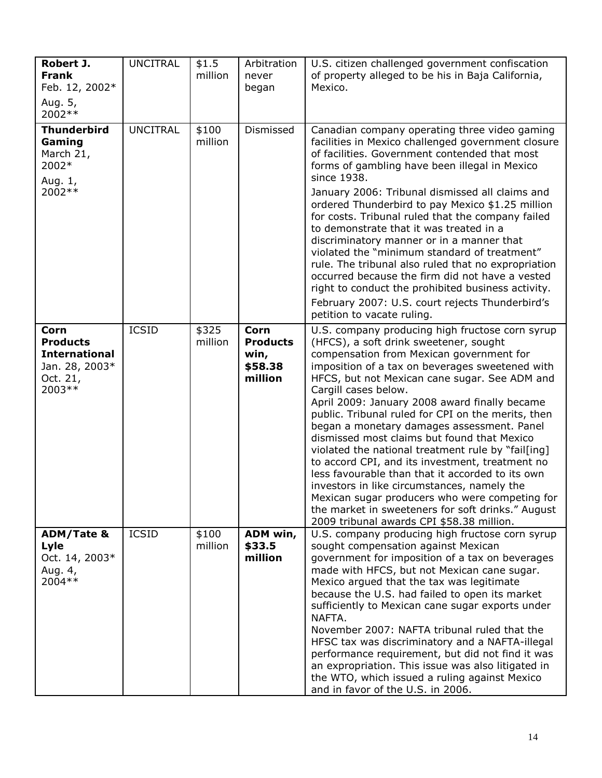| Robert J.<br><b>Frank</b><br>Feb. 12, 2002*<br>Aug. 5,<br>2002 **                               | <b>UNCITRAL</b> | \$1.5<br>million | Arbitration<br>never<br>began                         | U.S. citizen challenged government confiscation<br>of property alleged to be his in Baja California,<br>Mexico.                                                                                                                                                                                                                                                                                                                                                                                                                                                                                                                                                                                                                                                                                                                       |
|-------------------------------------------------------------------------------------------------|-----------------|------------------|-------------------------------------------------------|---------------------------------------------------------------------------------------------------------------------------------------------------------------------------------------------------------------------------------------------------------------------------------------------------------------------------------------------------------------------------------------------------------------------------------------------------------------------------------------------------------------------------------------------------------------------------------------------------------------------------------------------------------------------------------------------------------------------------------------------------------------------------------------------------------------------------------------|
| <b>Thunderbird</b><br>Gaming<br>March 21,<br>2002*<br>Aug. 1,<br>2002 **                        | <b>UNCITRAL</b> | \$100<br>million | Dismissed                                             | Canadian company operating three video gaming<br>facilities in Mexico challenged government closure<br>of facilities. Government contended that most<br>forms of gambling have been illegal in Mexico<br>since 1938.<br>January 2006: Tribunal dismissed all claims and<br>ordered Thunderbird to pay Mexico \$1.25 million<br>for costs. Tribunal ruled that the company failed<br>to demonstrate that it was treated in a<br>discriminatory manner or in a manner that<br>violated the "minimum standard of treatment"<br>rule. The tribunal also ruled that no expropriation<br>occurred because the firm did not have a vested<br>right to conduct the prohibited business activity.<br>February 2007: U.S. court rejects Thunderbird's<br>petition to vacate ruling.                                                             |
| <b>Corn</b><br><b>Products</b><br><b>International</b><br>Jan. 28, 2003*<br>Oct. 21,<br>2003 ** | <b>ICSID</b>    | \$325<br>million | Corn<br><b>Products</b><br>win,<br>\$58.38<br>million | U.S. company producing high fructose corn syrup<br>(HFCS), a soft drink sweetener, sought<br>compensation from Mexican government for<br>imposition of a tax on beverages sweetened with<br>HFCS, but not Mexican cane sugar. See ADM and<br>Cargill cases below.<br>April 2009: January 2008 award finally became<br>public. Tribunal ruled for CPI on the merits, then<br>began a monetary damages assessment. Panel<br>dismissed most claims but found that Mexico<br>violated the national treatment rule by "fail[ing]<br>to accord CPI, and its investment, treatment no<br>less favourable than that it accorded to its own<br>investors in like circumstances, namely the<br>Mexican sugar producers who were competing for<br>the market in sweeteners for soft drinks." August<br>2009 tribunal awards CPI \$58.38 million. |
| <b>ADM/Tate &amp;</b><br>Lyle<br>Oct. 14, 2003*<br>Aug. 4,<br>2004 **                           | <b>ICSID</b>    | \$100<br>million | ADM win,<br>\$33.5<br>million                         | U.S. company producing high fructose corn syrup<br>sought compensation against Mexican<br>government for imposition of a tax on beverages<br>made with HFCS, but not Mexican cane sugar.<br>Mexico argued that the tax was legitimate<br>because the U.S. had failed to open its market<br>sufficiently to Mexican cane sugar exports under<br>NAFTA.<br>November 2007: NAFTA tribunal ruled that the<br>HFSC tax was discriminatory and a NAFTA-illegal<br>performance requirement, but did not find it was<br>an expropriation. This issue was also litigated in<br>the WTO, which issued a ruling against Mexico<br>and in favor of the U.S. in 2006.                                                                                                                                                                              |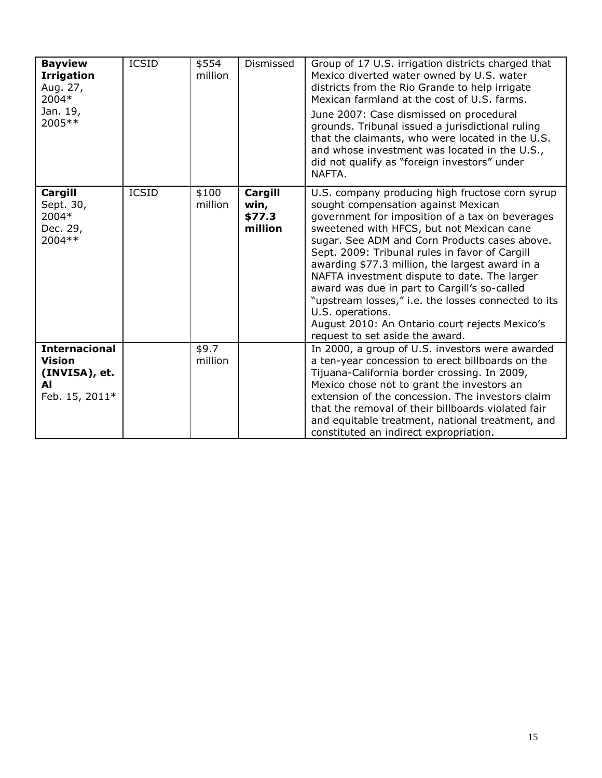| <b>Bayview</b><br><b>Irrigation</b><br>Aug. 27,<br>2004*<br>Jan. 19,<br>2005 ** | <b>ICSID</b> | \$554<br>million | Dismissed                            | Group of 17 U.S. irrigation districts charged that<br>Mexico diverted water owned by U.S. water<br>districts from the Rio Grande to help irrigate<br>Mexican farmland at the cost of U.S. farms.<br>June 2007: Case dismissed on procedural<br>grounds. Tribunal issued a jurisdictional ruling<br>that the claimants, who were located in the U.S.<br>and whose investment was located in the U.S.,<br>did not qualify as "foreign investors" under<br>NAFTA.                                                                                                                                               |
|---------------------------------------------------------------------------------|--------------|------------------|--------------------------------------|--------------------------------------------------------------------------------------------------------------------------------------------------------------------------------------------------------------------------------------------------------------------------------------------------------------------------------------------------------------------------------------------------------------------------------------------------------------------------------------------------------------------------------------------------------------------------------------------------------------|
| Cargill<br>Sept. 30,<br>2004*<br>Dec. 29,<br>2004 **                            | <b>ICSID</b> | \$100<br>million | Cargill<br>win,<br>\$77.3<br>million | U.S. company producing high fructose corn syrup<br>sought compensation against Mexican<br>government for imposition of a tax on beverages<br>sweetened with HFCS, but not Mexican cane<br>sugar. See ADM and Corn Products cases above.<br>Sept. 2009: Tribunal rules in favor of Cargill<br>awarding \$77.3 million, the largest award in a<br>NAFTA investment dispute to date. The larger<br>award was due in part to Cargill's so-called<br>"upstream losses," i.e. the losses connected to its<br>U.S. operations.<br>August 2010: An Ontario court rejects Mexico's<br>request to set aside the award. |
| <b>Internacional</b><br><b>Vision</b><br>(INVISA), et.<br>AI<br>Feb. 15, 2011*  |              | \$9.7<br>million |                                      | In 2000, a group of U.S. investors were awarded<br>a ten-year concession to erect billboards on the<br>Tijuana-California border crossing. In 2009,<br>Mexico chose not to grant the investors an<br>extension of the concession. The investors claim<br>that the removal of their billboards violated fair<br>and equitable treatment, national treatment, and<br>constituted an indirect expropriation.                                                                                                                                                                                                    |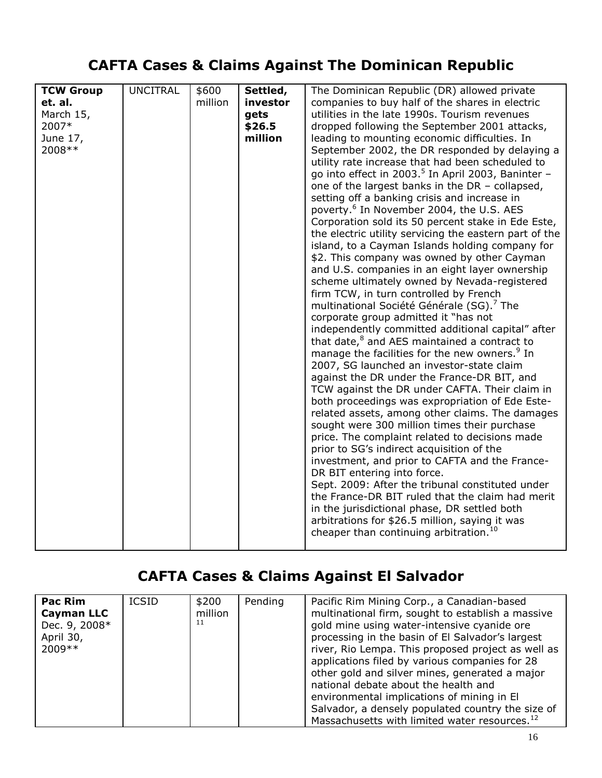# **CAFTA Cases & Claims Against The Dominican Republic**

| <b>TCW Group</b><br>et. al.<br>March 15,<br>2007*<br>June 17,<br>2008 ** | <b>UNCITRAL</b> | \$600<br>million | Settled,<br>investor<br>gets<br>\$26.5<br>million | The Dominican Republic (DR) allowed private<br>companies to buy half of the shares in electric<br>utilities in the late 1990s. Tourism revenues<br>dropped following the September 2001 attacks,<br>leading to mounting economic difficulties. In<br>September 2002, the DR responded by delaying a<br>utility rate increase that had been scheduled to<br>go into effect in 2003. <sup>5</sup> In April 2003, Baninter -<br>one of the largest banks in the DR - collapsed,<br>setting off a banking crisis and increase in<br>poverty. <sup>6</sup> In November 2004, the U.S. AES<br>Corporation sold its 50 percent stake in Ede Este,<br>the electric utility servicing the eastern part of the<br>island, to a Cayman Islands holding company for<br>\$2. This company was owned by other Cayman<br>and U.S. companies in an eight layer ownership<br>scheme ultimately owned by Nevada-registered<br>firm TCW, in turn controlled by French<br>multinational Société Générale (SG). <sup>7</sup> The<br>corporate group admitted it "has not<br>independently committed additional capital" after<br>that date, $8$ and AES maintained a contract to<br>manage the facilities for the new owners. <sup>9</sup> In<br>2007, SG launched an investor-state claim<br>against the DR under the France-DR BIT, and<br>TCW against the DR under CAFTA. Their claim in<br>both proceedings was expropriation of Ede Este-<br>related assets, among other claims. The damages |
|--------------------------------------------------------------------------|-----------------|------------------|---------------------------------------------------|------------------------------------------------------------------------------------------------------------------------------------------------------------------------------------------------------------------------------------------------------------------------------------------------------------------------------------------------------------------------------------------------------------------------------------------------------------------------------------------------------------------------------------------------------------------------------------------------------------------------------------------------------------------------------------------------------------------------------------------------------------------------------------------------------------------------------------------------------------------------------------------------------------------------------------------------------------------------------------------------------------------------------------------------------------------------------------------------------------------------------------------------------------------------------------------------------------------------------------------------------------------------------------------------------------------------------------------------------------------------------------------------------------------------------------------------------------------------------|
|                                                                          |                 |                  |                                                   | sought were 300 million times their purchase<br>price. The complaint related to decisions made<br>prior to SG's indirect acquisition of the<br>investment, and prior to CAFTA and the France-                                                                                                                                                                                                                                                                                                                                                                                                                                                                                                                                                                                                                                                                                                                                                                                                                                                                                                                                                                                                                                                                                                                                                                                                                                                                                |
|                                                                          |                 |                  |                                                   | DR BIT entering into force.<br>Sept. 2009: After the tribunal constituted under<br>the France-DR BIT ruled that the claim had merit<br>in the jurisdictional phase, DR settled both<br>arbitrations for \$26.5 million, saying it was<br>cheaper than continuing arbitration. <sup>10</sup>                                                                                                                                                                                                                                                                                                                                                                                                                                                                                                                                                                                                                                                                                                                                                                                                                                                                                                                                                                                                                                                                                                                                                                                  |

## **CAFTA Cases & Claims Against El Salvador**

| Pac Rim<br><b>Cayman LLC</b><br>Dec. 9, 2008*<br>April 30,<br>$2009**$ | <b>ICSID</b> | \$200<br>million<br>11 | Pending | Pacific Rim Mining Corp., a Canadian-based<br>multinational firm, sought to establish a massive<br>gold mine using water-intensive cyanide ore<br>processing in the basin of El Salvador's largest<br>river, Rio Lempa. This proposed project as well as<br>applications filed by various companies for 28<br>other gold and silver mines, generated a major<br>national debate about the health and<br>environmental implications of mining in El<br>Salvador, a densely populated country the size of |
|------------------------------------------------------------------------|--------------|------------------------|---------|---------------------------------------------------------------------------------------------------------------------------------------------------------------------------------------------------------------------------------------------------------------------------------------------------------------------------------------------------------------------------------------------------------------------------------------------------------------------------------------------------------|
|                                                                        |              |                        |         | Massachusetts with limited water resources. <sup>12</sup>                                                                                                                                                                                                                                                                                                                                                                                                                                               |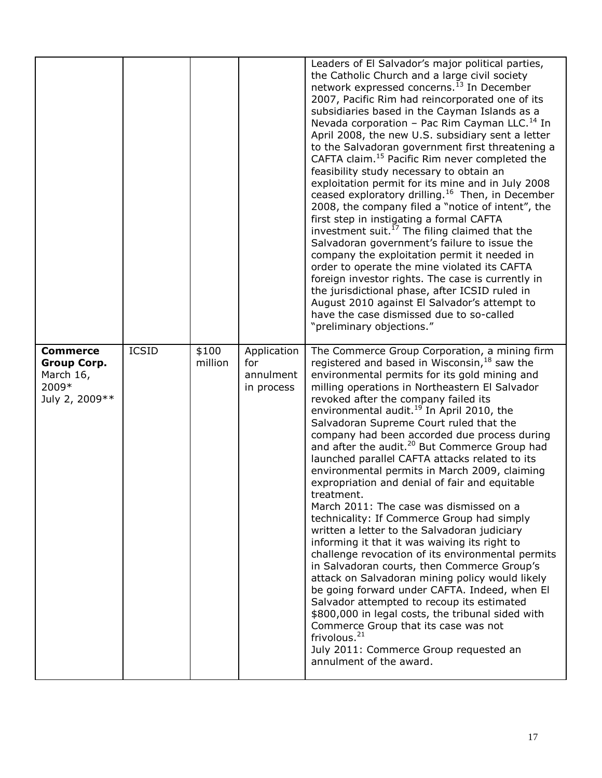|                                                                                |              |                  |                                               | Leaders of El Salvador's major political parties,<br>the Catholic Church and a large civil society<br>network expressed concerns. <sup>13</sup> In December<br>2007, Pacific Rim had reincorporated one of its<br>subsidiaries based in the Cayman Islands as a<br>Nevada corporation - Pac Rim Cayman LLC. <sup>14</sup> In<br>April 2008, the new U.S. subsidiary sent a letter<br>to the Salvadoran government first threatening a<br>CAFTA claim. <sup>15</sup> Pacific Rim never completed the<br>feasibility study necessary to obtain an<br>exploitation permit for its mine and in July 2008<br>ceased exploratory drilling. <sup>16</sup> Then, in December<br>2008, the company filed a "notice of intent", the<br>first step in instigating a formal CAFTA<br>investment suit. <sup>17</sup> The filing claimed that the<br>Salvadoran government's failure to issue the<br>company the exploitation permit it needed in<br>order to operate the mine violated its CAFTA<br>foreign investor rights. The case is currently in<br>the jurisdictional phase, after ICSID ruled in<br>August 2010 against El Salvador's attempt to<br>have the case dismissed due to so-called<br>"preliminary objections."                                                           |
|--------------------------------------------------------------------------------|--------------|------------------|-----------------------------------------------|-------------------------------------------------------------------------------------------------------------------------------------------------------------------------------------------------------------------------------------------------------------------------------------------------------------------------------------------------------------------------------------------------------------------------------------------------------------------------------------------------------------------------------------------------------------------------------------------------------------------------------------------------------------------------------------------------------------------------------------------------------------------------------------------------------------------------------------------------------------------------------------------------------------------------------------------------------------------------------------------------------------------------------------------------------------------------------------------------------------------------------------------------------------------------------------------------------------------------------------------------------------------------------|
| <b>Commerce</b><br><b>Group Corp.</b><br>March 16,<br>2009*<br>July 2, 2009 ** | <b>ICSID</b> | \$100<br>million | Application<br>for<br>annulment<br>in process | The Commerce Group Corporation, a mining firm<br>registered and based in Wisconsin, $18$ saw the<br>environmental permits for its gold mining and<br>milling operations in Northeastern El Salvador<br>revoked after the company failed its<br>environmental audit. <sup>19</sup> In April 2010, the<br>Salvadoran Supreme Court ruled that the<br>company had been accorded due process during<br>and after the audit. <sup>20</sup> But Commerce Group had<br>launched parallel CAFTA attacks related to its<br>environmental permits in March 2009, claiming<br>expropriation and denial of fair and equitable<br>treatment.<br>March 2011: The case was dismissed on a<br>technicality: If Commerce Group had simply<br>written a letter to the Salvadoran judiciary<br>informing it that it was waiving its right to<br>challenge revocation of its environmental permits<br>in Salvadoran courts, then Commerce Group's<br>attack on Salvadoran mining policy would likely<br>be going forward under CAFTA. Indeed, when El<br>Salvador attempted to recoup its estimated<br>\$800,000 in legal costs, the tribunal sided with<br>Commerce Group that its case was not<br>frivolous. <sup>21</sup><br>July 2011: Commerce Group requested an<br>annulment of the award. |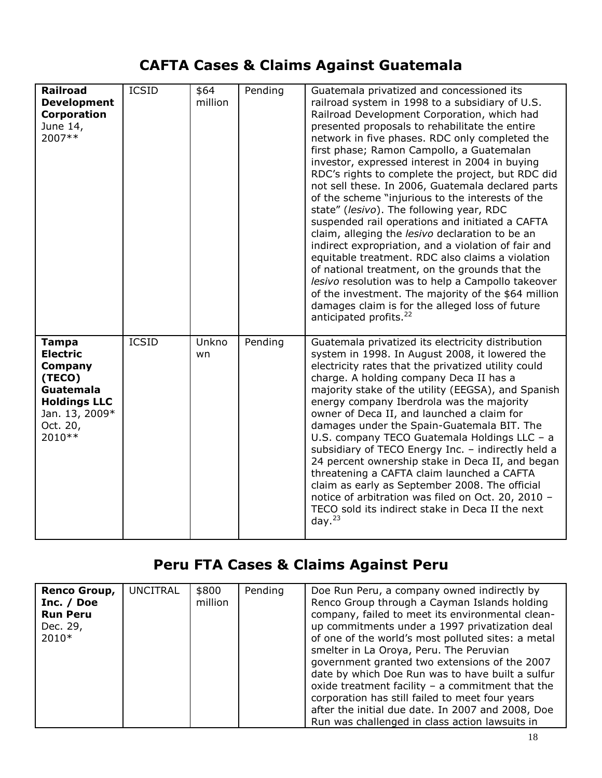## **CAFTA Cases & Claims Against Guatemala**

| <b>Railroad</b><br><b>Development</b><br>Corporation<br>June 14,<br>2007**                                                               | <b>ICSID</b> | \$64<br>million | Pending | Guatemala privatized and concessioned its<br>railroad system in 1998 to a subsidiary of U.S.<br>Railroad Development Corporation, which had<br>presented proposals to rehabilitate the entire<br>network in five phases. RDC only completed the<br>first phase; Ramon Campollo, a Guatemalan<br>investor, expressed interest in 2004 in buying<br>RDC's rights to complete the project, but RDC did<br>not sell these. In 2006, Guatemala declared parts<br>of the scheme "injurious to the interests of the<br>state" (lesivo). The following year, RDC<br>suspended rail operations and initiated a CAFTA<br>claim, alleging the lesivo declaration to be an<br>indirect expropriation, and a violation of fair and<br>equitable treatment. RDC also claims a violation<br>of national treatment, on the grounds that the<br>lesivo resolution was to help a Campollo takeover<br>of the investment. The majority of the \$64 million<br>damages claim is for the alleged loss of future<br>anticipated profits. <sup>22</sup> |
|------------------------------------------------------------------------------------------------------------------------------------------|--------------|-----------------|---------|----------------------------------------------------------------------------------------------------------------------------------------------------------------------------------------------------------------------------------------------------------------------------------------------------------------------------------------------------------------------------------------------------------------------------------------------------------------------------------------------------------------------------------------------------------------------------------------------------------------------------------------------------------------------------------------------------------------------------------------------------------------------------------------------------------------------------------------------------------------------------------------------------------------------------------------------------------------------------------------------------------------------------------|
| <b>Tampa</b><br><b>Electric</b><br>Company<br>(TECO)<br><b>Guatemala</b><br><b>Holdings LLC</b><br>Jan. 13, 2009*<br>Oct. 20,<br>2010 ** | <b>ICSID</b> | Unkno<br>wn     | Pending | Guatemala privatized its electricity distribution<br>system in 1998. In August 2008, it lowered the<br>electricity rates that the privatized utility could<br>charge. A holding company Deca II has a<br>majority stake of the utility (EEGSA), and Spanish<br>energy company Iberdrola was the majority<br>owner of Deca II, and launched a claim for<br>damages under the Spain-Guatemala BIT. The<br>U.S. company TECO Guatemala Holdings LLC - a<br>subsidiary of TECO Energy Inc. - indirectly held a<br>24 percent ownership stake in Deca II, and began<br>threatening a CAFTA claim launched a CAFTA<br>claim as early as September 2008. The official<br>notice of arbitration was filed on Oct. 20, 2010 -<br>TECO sold its indirect stake in Deca II the next<br>day. $^{23}$                                                                                                                                                                                                                                         |

## **Peru FTA Cases & Claims Against Peru**

| Renco Group,<br>Inc. / Doe<br><b>Run Peru</b><br>Dec. 29,<br>$2010*$ | <b>UNCITRAL</b> | \$800<br>million | Pending | Doe Run Peru, a company owned indirectly by<br>Renco Group through a Cayman Islands holding<br>company, failed to meet its environmental clean-<br>up commitments under a 1997 privatization deal<br>of one of the world's most polluted sites: a metal<br>smelter in La Oroya, Peru. The Peruvian<br>government granted two extensions of the 2007<br>date by which Doe Run was to have built a sulfur<br>oxide treatment facility $-$ a commitment that the<br>corporation has still failed to meet four years<br>after the initial due date. In 2007 and 2008, Doe |
|----------------------------------------------------------------------|-----------------|------------------|---------|-----------------------------------------------------------------------------------------------------------------------------------------------------------------------------------------------------------------------------------------------------------------------------------------------------------------------------------------------------------------------------------------------------------------------------------------------------------------------------------------------------------------------------------------------------------------------|
|                                                                      |                 |                  |         | Run was challenged in class action lawsuits in                                                                                                                                                                                                                                                                                                                                                                                                                                                                                                                        |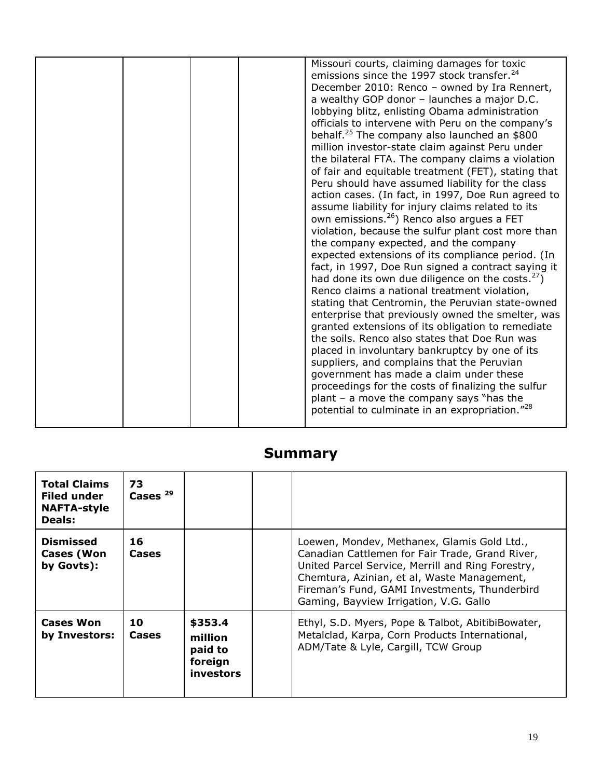| emissions since the 1997 stock transfer. <sup>24</sup><br>December 2010: Renco - owned by Ira Rennert,<br>a wealthy GOP donor - launches a major D.C.<br>lobbying blitz, enlisting Obama administration<br>officials to intervene with Peru on the company's<br>behalf. <sup>25</sup> The company also launched an \$800<br>million investor-state claim against Peru under<br>the bilateral FTA. The company claims a violation<br>of fair and equitable treatment (FET), stating that<br>Peru should have assumed liability for the class<br>action cases. (In fact, in 1997, Doe Run agreed to<br>assume liability for injury claims related to its<br>own emissions. <sup>26</sup> ) Renco also argues a FET<br>violation, because the sulfur plant cost more than<br>the company expected, and the company<br>expected extensions of its compliance period. (In<br>fact, in 1997, Doe Run signed a contract saying it<br>had done its own due diligence on the costs. $2$ )<br>Renco claims a national treatment violation,<br>stating that Centromin, the Peruvian state-owned<br>enterprise that previously owned the smelter, was<br>granted extensions of its obligation to remediate<br>the soils. Renco also states that Doe Run was<br>placed in involuntary bankruptcy by one of its<br>suppliers, and complains that the Peruvian<br>government has made a claim under these<br>proceedings for the costs of finalizing the sulfur<br>plant $-$ a move the company says "has the<br>potential to culminate in an expropriation." <sup>28</sup> |  |  |                                             |
|--------------------------------------------------------------------------------------------------------------------------------------------------------------------------------------------------------------------------------------------------------------------------------------------------------------------------------------------------------------------------------------------------------------------------------------------------------------------------------------------------------------------------------------------------------------------------------------------------------------------------------------------------------------------------------------------------------------------------------------------------------------------------------------------------------------------------------------------------------------------------------------------------------------------------------------------------------------------------------------------------------------------------------------------------------------------------------------------------------------------------------------------------------------------------------------------------------------------------------------------------------------------------------------------------------------------------------------------------------------------------------------------------------------------------------------------------------------------------------------------------------------------------------------------------------------|--|--|---------------------------------------------|
|                                                                                                                                                                                                                                                                                                                                                                                                                                                                                                                                                                                                                                                                                                                                                                                                                                                                                                                                                                                                                                                                                                                                                                                                                                                                                                                                                                                                                                                                                                                                                              |  |  | Missouri courts, claiming damages for toxic |
|                                                                                                                                                                                                                                                                                                                                                                                                                                                                                                                                                                                                                                                                                                                                                                                                                                                                                                                                                                                                                                                                                                                                                                                                                                                                                                                                                                                                                                                                                                                                                              |  |  |                                             |

### **Summary**

| <b>Total Claims</b><br><b>Filed under</b><br><b>NAFTA-style</b><br>Deals: | 73<br>Cases $29$   |                                                       |                                                                                                                                                                                                                                                                                               |
|---------------------------------------------------------------------------|--------------------|-------------------------------------------------------|-----------------------------------------------------------------------------------------------------------------------------------------------------------------------------------------------------------------------------------------------------------------------------------------------|
| <b>Dismissed</b><br><b>Cases (Won</b><br>by Govts):                       | 16<br><b>Cases</b> |                                                       | Loewen, Mondev, Methanex, Glamis Gold Ltd.,<br>Canadian Cattlemen for Fair Trade, Grand River,<br>United Parcel Service, Merrill and Ring Forestry,<br>Chemtura, Azinian, et al, Waste Management,<br>Fireman's Fund, GAMI Investments, Thunderbird<br>Gaming, Bayview Irrigation, V.G. Gallo |
| <b>Cases Won</b><br>by Investors:                                         | 10<br><b>Cases</b> | \$353.4<br>million<br>paid to<br>foreign<br>investors | Ethyl, S.D. Myers, Pope & Talbot, AbitibiBowater,<br>Metalclad, Karpa, Corn Products International,<br>ADM/Tate & Lyle, Cargill, TCW Group                                                                                                                                                    |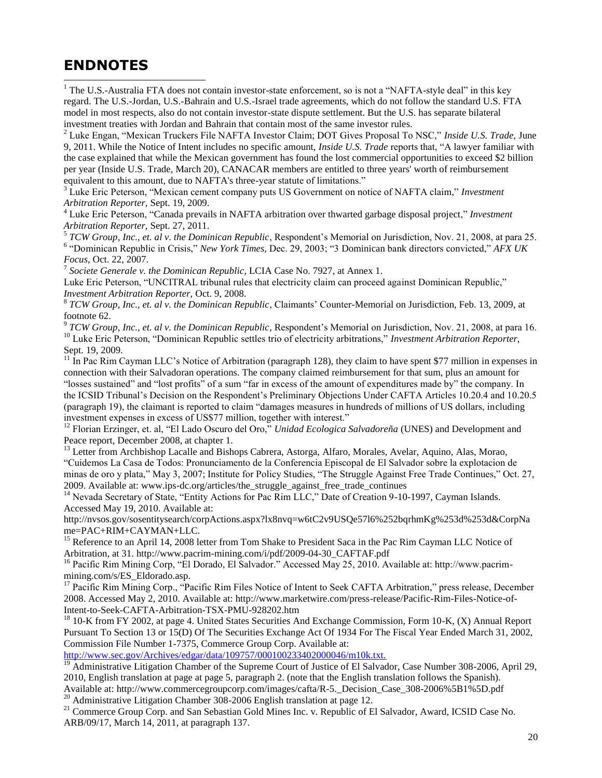#### **ENDNOTES**

l

<sup>1</sup> The U.S.-Australia FTA does not contain investor-state enforcement, so is not a "NAFTA-style deal" in this key regard. The U.S.-Jordan, U.S.-Bahrain and U.S.-Israel trade agreements, which do not follow the standard U.S. FTA model in most respects, also do not contain investor-state dispute settlement. But the U.S. has separate bilateral investment treaties with Jordan and Bahrain that contain most of the same investor rules.

<sup>2</sup> Luke Engan, "Mexican Truckers File NAFTA Investor Claim; DOT Gives Proposal To NSC," *Inside U.S. Trade,* June 9, 2011. While the Notice of Intent includes no specific amount, *Inside U.S. Trade* reports that, "A lawyer familiar with the case explained that while the Mexican government has found the lost commercial opportunities to exceed \$2 billion per year (Inside U.S. Trade, March 20), CANACAR members are entitled to three years' worth of reimbursement equivalent to this amount, due to NAFTA's three-year statute of limitations."

<sup>3</sup> Luke Eric Peterson, "Mexican cement company puts US Government on notice of NAFTA claim," *Investment Arbitration Reporter,* Sept. 19, 2009.

<sup>4</sup> Luke Eric Peterson, "Canada prevails in NAFTA arbitration over thwarted garbage disposal project," *Investment Arbitration Reporter,* Sept. 27, 2011.

5 *TCW Group, Inc., et. al v. the Dominican Republic*, Respondent's Memorial on Jurisdiction, Nov. 21, 2008, at para 25. 6 "Dominican Republic in Crisis," *New York Times,* Dec. 29, 2003; "3 Dominican bank directors convicted," *AFX UK Focus*, Oct. 22, 2007.

7 *Societe Generale v. the Dominican Republic*, LCIA Case No. 7927, at Annex 1.

Luke Eric Peterson, "UNCITRAL tribunal rules that electricity claim can proceed against Dominican Republic," *Investment Arbitration Reporter,* Oct. 9, 2008.

8 *TCW Group, Inc., et. al v. the Dominican Republic*, Claimants' Counter-Memorial on Jurisdiction, Feb. 13, 2009, at footnote 62.

9 *TCW Group, Inc., et. al v. the Dominican Republic*, Respondent's Memorial on Jurisdiction, Nov. 21, 2008, at para 16. <sup>10</sup> Luke Eric Peterson, "Dominican Republic settles trio of electricity arbitrations," *Investment Arbitration Reporter*, Sept. 19, 2009.

 $11$  In Pac Rim Cayman LLC's Notice of Arbitration (paragraph 128), they claim to have spent \$77 million in expenses in connection with their Salvadoran operations. The company claimed reimbursement for that sum, plus an amount for "losses sustained" and "lost profits" of a sum "far in excess of the amount of expenditures made by" the company. In the ICSID Tribunal's Decision on the Respondent's Preliminary Objections Under CAFTA Articles 10.20.4 and 10.20.5 (paragraph 19), the claimant is reported to claim "damages measures in hundreds of millions of US dollars, including investment expenses in excess of US\$77 million, together with interest."

<sup>12</sup> Florian Erzinger, et. al, "El Lado Oscuro del Oro," *Unidad Ecologica Salvadoreña* (UNES) and Development and Peace report, December 2008, at chapter 1.

<sup>13</sup> Letter from Archbishop Lacalle and Bishops Cabrera, Astorga, Alfaro, Morales, Avelar, Aquino, Alas, Morao, "Cuidemos La Casa de Todos: Pronunciamento de la Conferencia Episcopal de El Salvador sobre la explotacion de minas de oro y plata," May 3, 2007; Institute for Policy Studies, "The Struggle Against Free Trade Continues," Oct. 27, 2009. Available at: www.ips-dc.org/articles/the\_struggle\_against\_free\_trade\_continues

<sup>14</sup> Nevada Secretary of State, "Entity Actions for Pac Rim LLC," Date of Creation 9-10-1997, Cayman Islands. Accessed May 19, 2010. Available at:

http://nvsos.gov/sosentitysearch/corpActions.aspx?lx8nvq=w6tC2v9USQe57l6%252bqrhmKg%253d%253d&CorpNa me=PAC+RIM+CAYMAN+LLC.

<sup>15</sup> Reference to an April 14, 2008 letter from Tom Shake to President Saca in the Pac Rim Cayman LLC Notice of Arbitration, at 31. http://www.pacrim-mining.com/i/pdf/2009-04-30\_CAFTAF.pdf

<sup>16</sup> Pacific Rim Mining Corp, "El Dorado, El Salvador." Accessed May 25, 2010. Available at: http://www.pacrimmining.com/s/ES\_Eldorado.asp.

<sup>17</sup> Pacific Rim Mining Corp., "Pacific Rim Files Notice of Intent to Seek CAFTA Arbitration," press release, December 2008. Accessed May 2, 2010. Available at: http://www.marketwire.com/press-release/Pacific-Rim-Files-Notice-of-Intent-to-Seek-CAFTA-Arbitration-TSX-PMU-928202.htm

 $18$  10-K from FY 2002, at page 4. United States Securities And Exchange Commission, Form 10-K,  $(X)$  Annual Report Pursuant To Section 13 or 15(D) Of The Securities Exchange Act Of 1934 For The Fiscal Year Ended March 31, 2002, Commission File Number 1-7375, Commerce Group Corp. Available at:

<http://www.sec.gov/Archives/edgar/data/109757/000100233402000046/m10k.txt.>

<sup>19</sup> Administrative Litigation Chamber of the Supreme Court of Justice of El Salvador, Case Number 308-2006, April 29, 2010, English translation at page at page 5, paragraph 2. (note that the English translation follows the Spanish). Available at: http://www.commercegroupcorp.com/images/cafta/R-5.\_Decision\_Case\_308-2006%5B1%5D.pdf

<sup>20</sup> Administrative Litigation Chamber 308-2006 English translation at page 12.

<sup>21</sup> Commerce Group Corp. and San Sebastian Gold Mines Inc. v. Republic of El Salvador, Award, ICSID Case No. ARB/09/17, March 14, 2011, at paragraph 137.